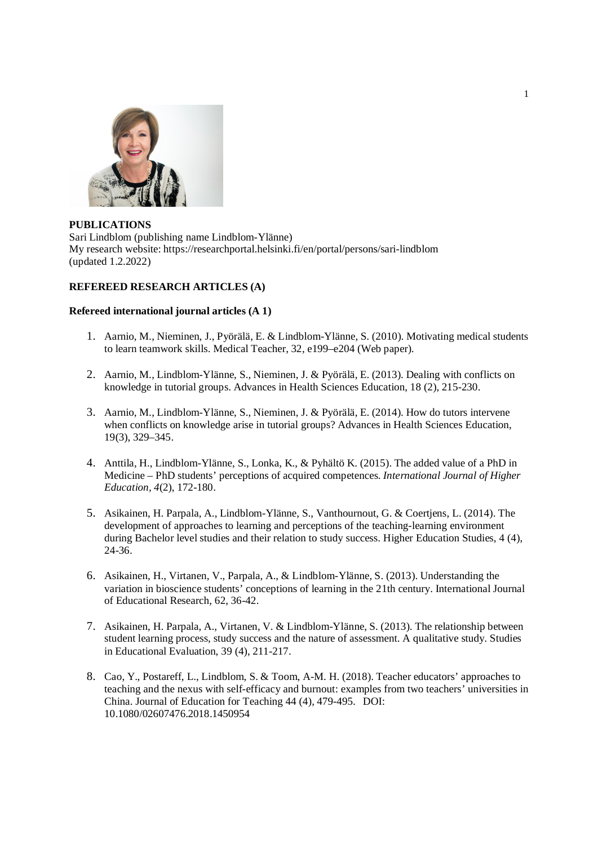

### **PUBLICATIONS**

Sari Lindblom (publishing name Lindblom-Ylänne) My research website: https://researchportal.helsinki.fi/en/portal/persons/sari-lindblom (updated 1.2.2022)

### **REFEREED RESEARCH ARTICLES (A)**

#### **Refereed international journal articles (A 1)**

- 1. Aarnio, M., Nieminen, J., Pyörälä, E. & Lindblom-Ylänne, S. (2010). Motivating medical students to learn teamwork skills. Medical Teacher, 32, e199–e204 (Web paper).
- 2. Aarnio, M., Lindblom-Ylänne, S., Nieminen, J. & Pyörälä, E. (2013). Dealing with conflicts on knowledge in tutorial groups. Advances in Health Sciences Education, 18 (2), 215-230.
- 3. Aarnio, M., Lindblom-Ylänne, S., Nieminen, J. & Pyörälä, E. (2014). How do tutors intervene when conflicts on knowledge arise in tutorial groups? Advances in Health Sciences Education, 19(3), 329–345.
- 4. Anttila, H., Lindblom-Ylänne, S., Lonka, K., & Pyhältö K. (2015). The added value of a PhD in Medicine – PhD students' perceptions of acquired competences. *International Journal of Higher Education, 4*(2), 172-180.
- 5. Asikainen, H. Parpala, A., Lindblom-Ylänne, S., Vanthournout, G. & Coertjens, L. (2014). The development of approaches to learning and perceptions of the teaching-learning environment during Bachelor level studies and their relation to study success. Higher Education Studies, 4 (4), 24-36.
- 6. Asikainen, H., Virtanen, V., Parpala, A., & Lindblom-Ylänne, S. (2013). Understanding the variation in bioscience students' conceptions of learning in the 21th century. International Journal of Educational Research, 62, 36-42.
- 7. Asikainen, H. Parpala, A., Virtanen, V. & Lindblom-Ylänne, S. (2013). The relationship between student learning process, study success and the nature of assessment. A qualitative study. Studies in Educational Evaluation, 39 (4), 211-217.
- 8. Cao, Y., Postareff, L., Lindblom, S. & Toom, A-M. H. (2018). Teacher educators' approaches to teaching and the nexus with self-efficacy and burnout: examples from two teachers' universities in China. Journal of Education for Teaching 44 (4), 479-495. DOI: 10.1080/02607476.2018.1450954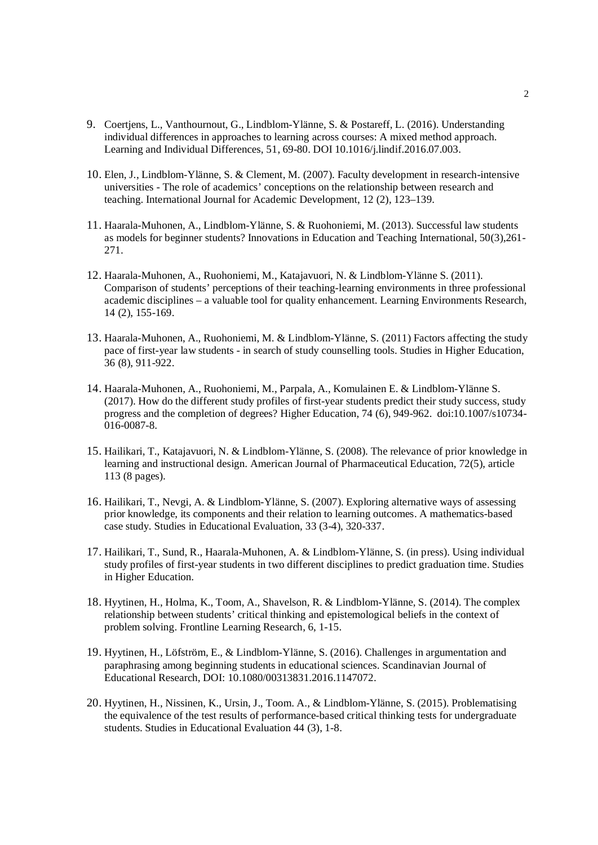- 9. Coertjens, L., Vanthournout, G., Lindblom-Ylänne, S. & Postareff, L. (2016). Understanding individual differences in approaches to learning across courses: A mixed method approach. Learning and Individual Differences, 51, 69-80. DOI 10.1016/j.lindif.2016.07.003.
- 10. Elen, J., Lindblom-Ylänne, S. & Clement, M. (2007). Faculty development in research-intensive universities - The role of academics' conceptions on the relationship between research and teaching. International Journal for Academic Development, 12 (2), 123–139.
- 11. Haarala-Muhonen, A., Lindblom-Ylänne, S. & Ruohoniemi, M. (2013). Successful law students as models for beginner students? Innovations in Education and Teaching International, 50(3),261- 271.
- 12. Haarala-Muhonen, A., Ruohoniemi, M., Katajavuori, N. & Lindblom-Ylänne S. (2011). Comparison of students' perceptions of their teaching-learning environments in three professional academic disciplines – a valuable tool for quality enhancement. Learning Environments Research, 14 (2), 155-169.
- 13. Haarala-Muhonen, A., Ruohoniemi, M. & Lindblom-Ylänne, S. (2011) Factors affecting the study pace of first-year law students - in search of study counselling tools. Studies in Higher Education, 36 (8), 911-922.
- 14. Haarala-Muhonen, A., Ruohoniemi, M., Parpala, A., Komulainen E. & Lindblom-Ylänne S. (2017). How do the different study profiles of first-year students predict their study success, study progress and the completion of degrees? Higher Education, 74 (6), 949-962. doi:10.1007/s10734- 016-0087-8.
- 15. Hailikari, T., Katajavuori, N. & Lindblom-Ylänne, S. (2008). The relevance of prior knowledge in learning and instructional design. American Journal of Pharmaceutical Education, 72(5), article 113 (8 pages).
- 16. Hailikari, T., Nevgi, A. & Lindblom-Ylänne, S. (2007). Exploring alternative ways of assessing prior knowledge, its components and their relation to learning outcomes. A mathematics-based case study. Studies in Educational Evaluation, 33 (3-4), 320-337.
- 17. Hailikari, T., Sund, R., Haarala-Muhonen, A. & Lindblom-Ylänne, S. (in press). Using individual study profiles of first-year students in two different disciplines to predict graduation time. Studies in Higher Education.
- 18. Hyytinen, H., Holma, K., Toom, A., Shavelson, R. & Lindblom-Ylänne, S. (2014). The complex relationship between students' critical thinking and epistemological beliefs in the context of problem solving. Frontline Learning Research, 6, 1-15.
- 19. Hyytinen, H., Löfström, E., & Lindblom-Ylänne, S. (2016). Challenges in argumentation and paraphrasing among beginning students in educational sciences. Scandinavian Journal of Educational Research, DOI: 10.1080/00313831.2016.1147072.
- 20. Hyytinen, H., Nissinen, K., Ursin, J., Toom. A., & Lindblom-Ylänne, S. (2015). Problematising the equivalence of the test results of performance-based critical thinking tests for undergraduate students. Studies in Educational Evaluation 44 (3), 1-8.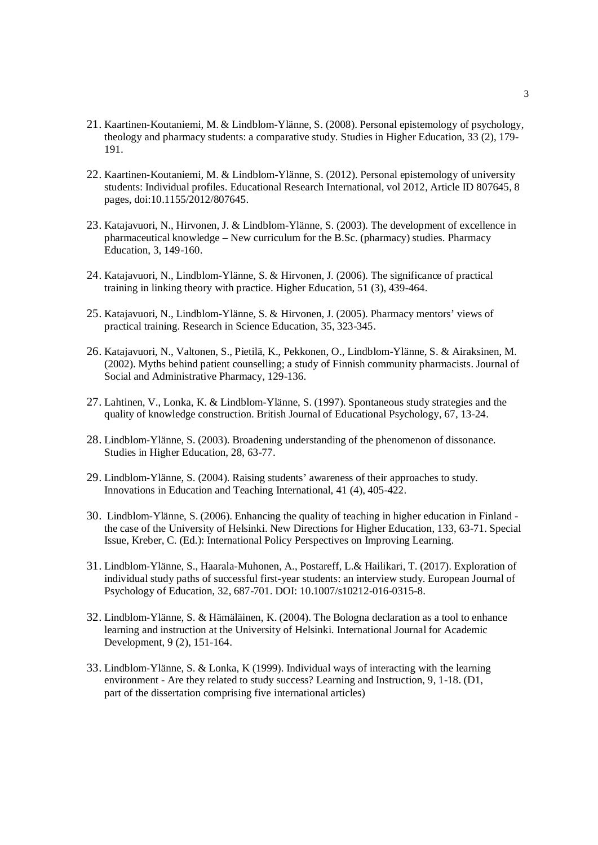- 21. Kaartinen-Koutaniemi, M. & Lindblom-Ylänne, S. (2008). Personal epistemology of psychology, theology and pharmacy students: a comparative study. Studies in Higher Education, 33 (2), 179- 191.
- 22. Kaartinen-Koutaniemi, M. & Lindblom-Ylänne, S. (2012). Personal epistemology of university students: Individual profiles. Educational Research International, vol 2012, Article ID 807645, 8 pages, doi:10.1155/2012/807645.
- 23. Katajavuori, N., Hirvonen, J. & Lindblom-Ylänne, S. (2003). The development of excellence in pharmaceutical knowledge – New curriculum for the B.Sc. (pharmacy) studies. Pharmacy Education, 3, 149-160.
- 24. Katajavuori, N., Lindblom-Ylänne, S. & Hirvonen, J. (2006). The significance of practical training in linking theory with practice. Higher Education, 51 (3), 439-464.
- 25. Katajavuori, N., Lindblom-Ylänne, S. & Hirvonen, J. (2005). Pharmacy mentors' views of practical training. Research in Science Education, 35, 323-345.
- 26. Katajavuori, N., Valtonen, S., Pietilä, K., Pekkonen, O., Lindblom-Ylänne, S. & Airaksinen, M. (2002). Myths behind patient counselling; a study of Finnish community pharmacists. Journal of Social and Administrative Pharmacy, 129-136.
- 27. Lahtinen, V., Lonka, K. & Lindblom-Ylänne, S. (1997). Spontaneous study strategies and the quality of knowledge construction. British Journal of Educational Psychology, 67, 13-24.
- 28. Lindblom-Ylänne, S. (2003). Broadening understanding of the phenomenon of dissonance. Studies in Higher Education, 28, 63-77.
- 29. Lindblom-Ylänne, S. (2004). Raising students' awareness of their approaches to study. Innovations in Education and Teaching International, 41 (4), 405-422.
- 30. Lindblom-Ylänne, S. (2006). Enhancing the quality of teaching in higher education in Finland the case of the University of Helsinki. New Directions for Higher Education, 133, 63-71. Special Issue, Kreber, C. (Ed.): International Policy Perspectives on Improving Learning.
- 31. Lindblom-Ylänne, S., Haarala-Muhonen, A., Postareff, L.& Hailikari, T. (2017). Exploration of individual study paths of successful first-year students: an interview study. European Journal of Psychology of Education, 32, 687-701. DOI: 10.1007/s10212-016-0315-8.
- 32. Lindblom-Ylänne, S. & Hämäläinen, K. (2004). The Bologna declaration as a tool to enhance learning and instruction at the University of Helsinki. International Journal for Academic Development, 9 (2), 151-164.
- 33. Lindblom-Ylänne, S. & Lonka, K (1999). Individual ways of interacting with the learning environment - Are they related to study success? Learning and Instruction, 9, 1-18. (D1, part of the dissertation comprising five international articles)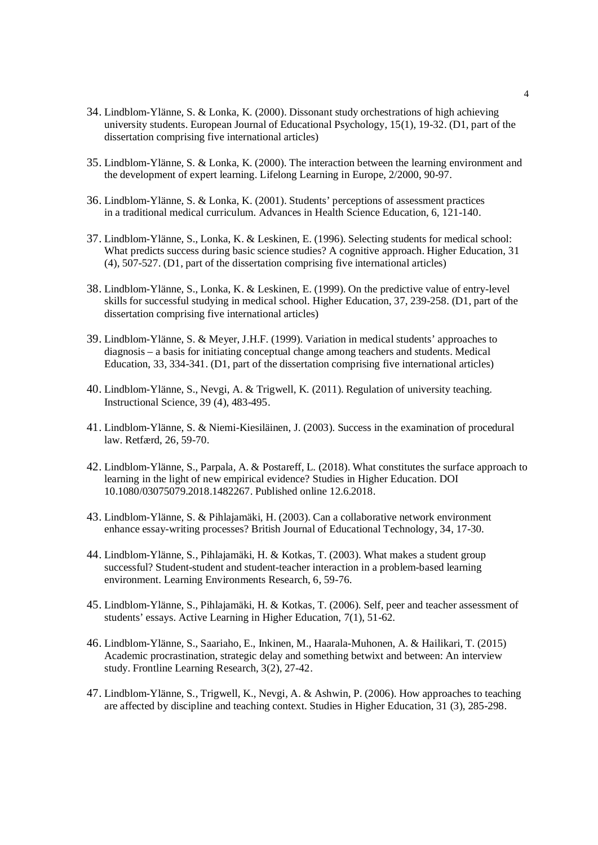- 34. Lindblom-Ylänne, S. & Lonka, K. (2000). Dissonant study orchestrations of high achieving university students. European Journal of Educational Psychology, 15(1), 19-32. (D1, part of the dissertation comprising five international articles)
- 35. Lindblom-Ylänne, S. & Lonka, K. (2000). The interaction between the learning environment and the development of expert learning. Lifelong Learning in Europe, 2/2000, 90-97.
- 36. Lindblom-Ylänne, S. & Lonka, K. (2001). Students' perceptions of assessment practices in a traditional medical curriculum. Advances in Health Science Education, 6, 121-140.
- 37. Lindblom-Ylänne, S., Lonka, K. & Leskinen, E. (1996). Selecting students for medical school: What predicts success during basic science studies? A cognitive approach. Higher Education, 31 (4), 507-527. (D1, part of the dissertation comprising five international articles)
- 38. Lindblom-Ylänne, S., Lonka, K. & Leskinen, E. (1999). On the predictive value of entry-level skills for successful studying in medical school. Higher Education, 37, 239-258. (D1, part of the dissertation comprising five international articles)
- 39. Lindblom-Ylänne, S. & Meyer, J.H.F. (1999). Variation in medical students' approaches to diagnosis – a basis for initiating conceptual change among teachers and students. Medical Education, 33, 334-341. (D1, part of the dissertation comprising five international articles)
- 40. Lindblom-Ylänne, S., Nevgi, A. & Trigwell, K. (2011). Regulation of university teaching. Instructional Science, 39 (4), 483-495.
- 41. Lindblom-Ylänne, S. & Niemi-Kiesiläinen, J. (2003). Success in the examination of procedural law. Retfærd, 26, 59-70.
- 42. Lindblom-Ylänne, S., Parpala, A. & Postareff, L. (2018). What constitutes the surface approach to learning in the light of new empirical evidence? Studies in Higher Education*.* DOI 10.1080/03075079.2018.1482267. Published online 12.6.2018.
- 43. Lindblom-Ylänne, S. & Pihlajamäki, H. (2003). Can a collaborative network environment enhance essay-writing processes? British Journal of Educational Technology, 34, 17-30.
- 44. Lindblom-Ylänne, S., Pihlajamäki, H. & Kotkas, T. (2003). What makes a student group successful? Student-student and student-teacher interaction in a problem-based learning environment. Learning Environments Research, 6, 59-76.
- 45. Lindblom-Ylänne, S., Pihlajamäki, H. & Kotkas, T. (2006). Self, peer and teacher assessment of students' essays. Active Learning in Higher Education, 7(1), 51-62.
- 46. Lindblom-Ylänne, S., Saariaho, E., Inkinen, M., Haarala-Muhonen, A. & Hailikari, T. (2015) Academic procrastination, strategic delay and something betwixt and between: An interview study. Frontline Learning Research, 3(2), 27-42.
- 47. Lindblom-Ylänne, S., Trigwell, K., Nevgi, A. & Ashwin, P. (2006). How approaches to teaching are affected by discipline and teaching context. Studies in Higher Education, 31 (3), 285-298.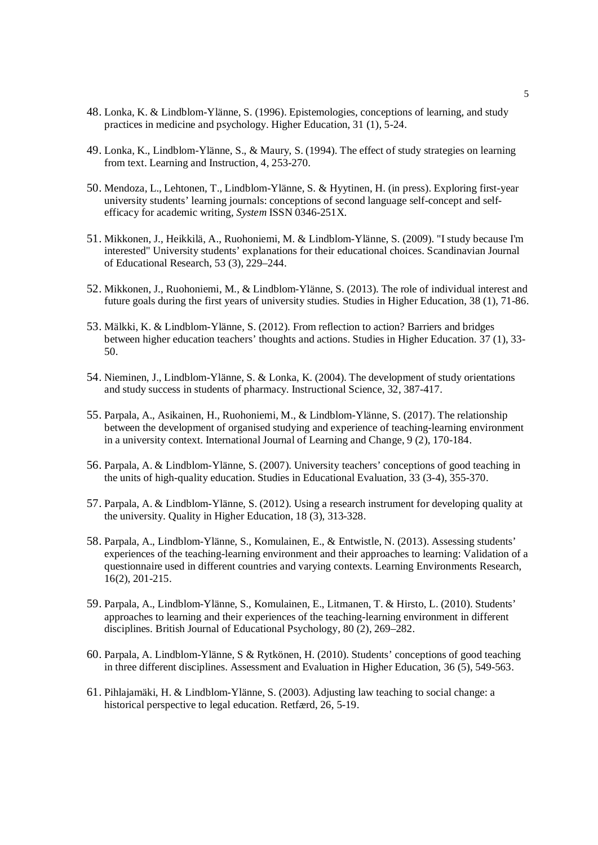- 48. Lonka, K. & Lindblom-Ylänne, S. (1996). Epistemologies, conceptions of learning, and study practices in medicine and psychology. Higher Education, 31 (1), 5-24.
- 49. Lonka, K., Lindblom-Ylänne, S., & Maury, S. (1994). The effect of study strategies on learning from text. Learning and Instruction, 4, 253-270.
- 50. Mendoza, L., Lehtonen, T., Lindblom-Ylänne, S. & Hyytinen, H. (in press). Exploring first-year university students' learning journals: conceptions of second language self-concept and selfefficacy for academic writing, *System* ISSN 0346-251X.
- 51. Mikkonen, J., Heikkilä, A., Ruohoniemi, M. & Lindblom-Ylänne, S. (2009). "I study because I'm interested" University students' explanations for their educational choices. Scandinavian Journal of Educational Research, 53 (3), 229–244.
- 52. Mikkonen, J., Ruohoniemi, M., & Lindblom-Ylänne, S. (2013). The role of individual interest and future goals during the first years of university studies. Studies in Higher Education, 38 (1), 71-86.
- 53. Mälkki, K. & Lindblom-Ylänne, S. (2012). From reflection to action? Barriers and bridges between higher education teachers' thoughts and actions. Studies in Higher Education. 37 (1), 33- 50.
- 54. Nieminen, J., Lindblom-Ylänne, S. & Lonka, K. (2004). The development of study orientations and study success in students of pharmacy. Instructional Science, 32, 387-417.
- 55. Parpala, A., Asikainen, H., Ruohoniemi, M., & Lindblom-Ylänne, S. (2017). The relationship between the development of organised studying and experience of teaching-learning environment in a university context. International Journal of Learning and Change, 9 (2), 170-184.
- 56. Parpala, A. & Lindblom-Ylänne, S. (2007). University teachers' conceptions of good teaching in the units of high-quality education. Studies in Educational Evaluation, 33 (3-4), 355-370.
- 57. Parpala, A. & Lindblom-Ylänne, S. (2012). Using a research instrument for developing quality at the university. Quality in Higher Education, 18 (3), 313-328.
- 58. Parpala, A., Lindblom-Ylänne, S., Komulainen, E., & Entwistle, N. (2013). Assessing students' experiences of the teaching-learning environment and their approaches to learning: Validation of a questionnaire used in different countries and varying contexts. Learning Environments Research, 16(2), 201-215.
- 59. Parpala, A., Lindblom-Ylänne, S., Komulainen, E., Litmanen, T. & Hirsto, L. (2010). Students' approaches to learning and their experiences of the teaching-learning environment in different disciplines. British Journal of Educational Psychology, 80 (2), 269–282.
- 60. Parpala, A. Lindblom-Ylänne, S & Rytkönen, H. (2010). Students' conceptions of good teaching in three different disciplines. Assessment and Evaluation in Higher Education, 36 (5), 549-563.
- 61. Pihlajamäki, H. & Lindblom-Ylänne, S. (2003). Adjusting law teaching to social change: a historical perspective to legal education. Retfærd, 26, 5-19.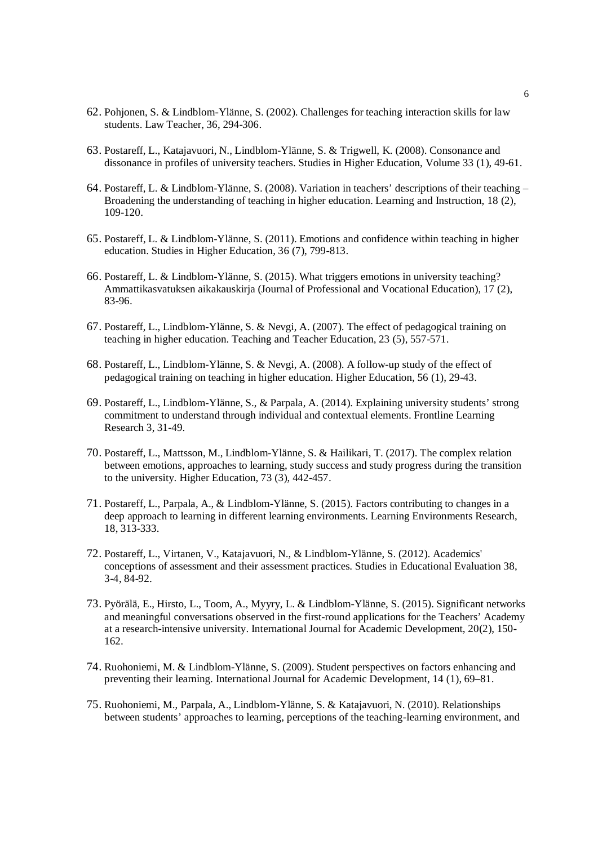- 62. Pohjonen, S. & Lindblom-Ylänne, S. (2002). Challenges for teaching interaction skills for law students. Law Teacher, 36, 294-306.
- 63. Postareff, L., Katajavuori, N., Lindblom-Ylänne, S. & Trigwell, K. (2008). Consonance and dissonance in profiles of university teachers. Studies in Higher Education, Volume 33 (1), 49-61.
- 64. Postareff, L. & Lindblom-Ylänne, S. (2008). Variation in teachers' descriptions of their teaching Broadening the understanding of teaching in higher education. Learning and Instruction, 18 (2), 109-120.
- 65. Postareff, L. & Lindblom-Ylänne, S. (2011). Emotions and confidence within teaching in higher education. Studies in Higher Education, 36 (7), 799-813.
- 66. Postareff, L. & Lindblom-Ylänne, S. (2015). What triggers emotions in university teaching? Ammattikasvatuksen aikakauskirja (Journal of Professional and Vocational Education), 17 (2), 83-96.
- 67. Postareff, L., Lindblom-Ylänne, S. & Nevgi, A. (2007). The effect of pedagogical training on teaching in higher education. Teaching and Teacher Education, 23 (5), 557-571.
- 68. Postareff, L., Lindblom-Ylänne, S. & Nevgi, A. (2008). A follow-up study of the effect of pedagogical training on teaching in higher education. Higher Education, 56 (1), 29-43.
- 69. Postareff, L., Lindblom-Ylänne, S., & Parpala, A. (2014). Explaining university students' strong commitment to understand through individual and contextual elements. Frontline Learning Research 3, 31-49.
- 70. Postareff, L., Mattsson, M., Lindblom-Ylänne, S. & Hailikari, T. (2017). The complex relation between emotions, approaches to learning, study success and study progress during the transition to the university. Higher Education, 73 (3), 442-457.
- 71. Postareff, L., Parpala, A., & Lindblom-Ylänne, S. (2015). Factors contributing to changes in a deep approach to learning in different learning environments. Learning Environments Research, 18, 313-333.
- 72. Postareff, L., Virtanen, V., Katajavuori, N., & Lindblom-Ylänne, S. (2012). Academics' conceptions of assessment and their assessment practices. Studies in Educational Evaluation 38, 3-4, 84-92.
- 73. Pyörälä, E., Hirsto, L., Toom, A., Myyry, L. & Lindblom-Ylänne, S. (2015). Significant networks and meaningful conversations observed in the first-round applications for the Teachers' Academy at a research-intensive university. International Journal for Academic Development, 20(2), 150- 162.
- 74. Ruohoniemi, M. & Lindblom-Ylänne, S. (2009). Student perspectives on factors enhancing and preventing their learning. International Journal for Academic Development, 14 (1), 69–81.
- 75. Ruohoniemi, M., Parpala, A., Lindblom-Ylänne, S. & Katajavuori, N. (2010). Relationships between students' approaches to learning, perceptions of the teaching-learning environment, and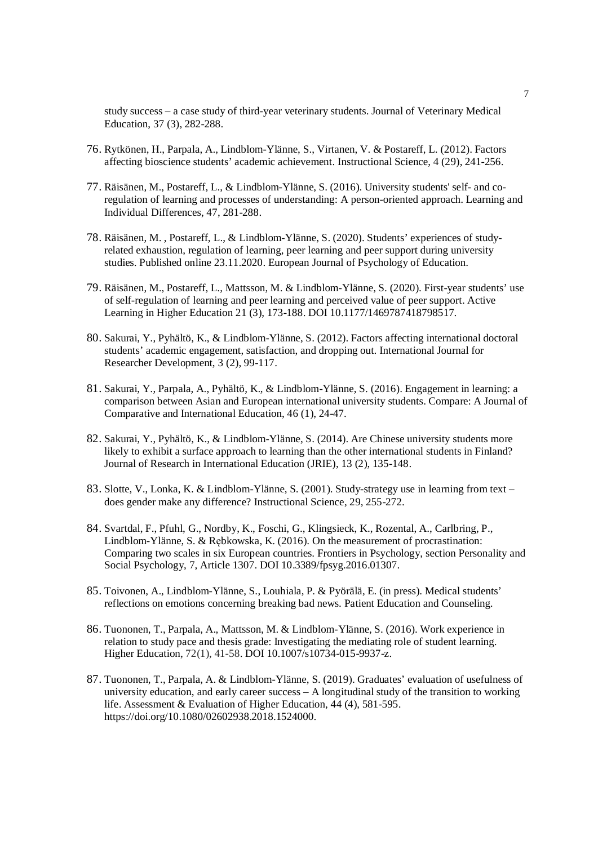study success – a case study of third-year veterinary students. Journal of Veterinary Medical Education, 37 (3), 282-288.

- 76. Rytkönen, H., Parpala, A., Lindblom-Ylänne, S., Virtanen, V. & Postareff, L. (2012). Factors affecting bioscience students' academic achievement. Instructional Science, 4 (29), 241-256.
- 77. Räisänen, M., Postareff, L., & Lindblom-Ylänne, S. (2016). University students' self- and coregulation of learning and processes of understanding: A person-oriented approach. Learning and Individual Differences, 47, 281-288.
- 78. Räisänen, M. , Postareff, L., & Lindblom-Ylänne, S. (2020). Students' experiences of studyrelated exhaustion, regulation of learning, peer learning and peer support during university studies. Published online 23.11.2020. European Journal of Psychology of Education.
- 79. Räisänen, M., Postareff, L., Mattsson, M. & Lindblom-Ylänne, S. (2020). First-year students' use of self-regulation of learning and peer learning and perceived value of peer support. Active Learning in Higher Education 21 (3), 173-188. DOI 10.1177/1469787418798517.
- 80. Sakurai, Y., Pyhältö, K., & Lindblom-Ylänne, S. (2012). Factors affecting international doctoral students' academic engagement, satisfaction, and dropping out. International Journal for Researcher Development, 3 (2), 99-117.
- 81. Sakurai, Y., Parpala, A., Pyhältö, K., & Lindblom-Ylänne, S. (2016). Engagement in learning: a comparison between Asian and European international university students. Compare: A Journal of Comparative and International Education, 46 (1), 24-47.
- 82. Sakurai, Y., Pyhältö, K., & Lindblom-Ylänne, S. (2014). Are Chinese university students more likely to exhibit a surface approach to learning than the other international students in Finland? Journal of Research in International Education (JRIE), 13 (2), 135-148.
- 83. Slotte, V., Lonka, K. & Lindblom-Ylänne, S. (2001). Study-strategy use in learning from text does gender make any difference? Instructional Science, 29, 255-272.
- 84. Svartdal, F., Pfuhl, G., Nordby, K., Foschi, G., Klingsieck, K., Rozental, A., Carlbring, P., Lindblom-Ylänne, S. & Rebkowska, K. (2016). On the measurement of procrastination: Comparing two scales in six European countries. Frontiers in Psychology, section Personality and Social Psychology, 7, Article 1307. DOI 10.3389/fpsyg.2016.01307.
- 85. Toivonen, A., Lindblom-Ylänne, S., Louhiala, P. & Pyörälä, E. (in press). Medical students' reflections on emotions concerning breaking bad news. Patient Education and Counseling.
- 86. Tuononen, T., Parpala, A., Mattsson, M. & Lindblom-Ylänne, S. (2016). Work experience in relation to study pace and thesis grade: Investigating the mediating role of student learning. Higher Education, 72(1), 41-58. DOI 10.1007/s10734-015-9937-z.
- 87. Tuononen, T., Parpala, A. & Lindblom-Ylänne, S. (2019). Graduates' evaluation of usefulness of university education, and early career success – A longitudinal study of the transition to working life. Assessment & Evaluation of Higher Education, 44 (4), 581-595. https://doi.org/10.1080/02602938.2018.1524000.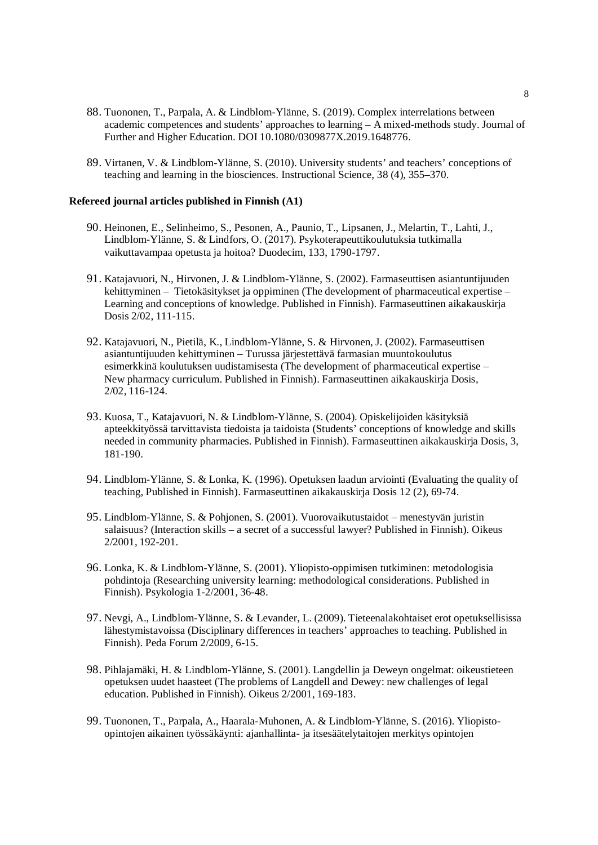- 88. Tuononen, T., Parpala, A. & Lindblom-Ylänne, S. (2019). Complex interrelations between academic competences and students' approaches to learning – A mixed-methods study. Journal of Further and Higher Education. DOI 10.1080/0309877X.2019.1648776.
- 89. Virtanen, V. & Lindblom-Ylänne, S. (2010). University students' and teachers' conceptions of teaching and learning in the biosciences. Instructional Science, 38 (4), 355–370.

#### **Refereed journal articles published in Finnish (A1)**

- 90. Heinonen, E., Selinheimo, S., Pesonen, A., Paunio, T., Lipsanen, J., Melartin, T., Lahti, J., Lindblom-Ylänne, S. & Lindfors, O. (2017). Psykoterapeuttikoulutuksia tutkimalla vaikuttavampaa opetusta ja hoitoa? Duodecim, 133, 1790-1797.
- 91. Katajavuori, N., Hirvonen, J. & Lindblom-Ylänne, S. (2002). Farmaseuttisen asiantuntijuuden kehittyminen – Tietokäsitykset ja oppiminen (The development of pharmaceutical expertise – Learning and conceptions of knowledge. Published in Finnish). Farmaseuttinen aikakauskirja Dosis 2/02, 111-115.
- 92. Katajavuori, N., Pietilä, K., Lindblom-Ylänne, S. & Hirvonen, J. (2002). Farmaseuttisen asiantuntijuuden kehittyminen – Turussa järjestettävä farmasian muuntokoulutus esimerkkinä koulutuksen uudistamisesta (The development of pharmaceutical expertise – New pharmacy curriculum. Published in Finnish). Farmaseuttinen aikakauskirja Dosis, 2/02, 116-124.
- 93. Kuosa, T., Katajavuori, N. & Lindblom-Ylänne, S. (2004). Opiskelijoiden käsityksiä apteekkityössä tarvittavista tiedoista ja taidoista (Students' conceptions of knowledge and skills needed in community pharmacies. Published in Finnish). Farmaseuttinen aikakauskirja Dosis, 3, 181-190.
- 94. Lindblom-Ylänne, S. & Lonka, K. (1996). Opetuksen laadun arviointi (Evaluating the quality of teaching, Published in Finnish). Farmaseuttinen aikakauskirja Dosis 12 (2), 69-74.
- 95. Lindblom-Ylänne, S. & Pohjonen, S. (2001). Vuorovaikutustaidot menestyvän juristin salaisuus? (Interaction skills – a secret of a successful lawyer? Published in Finnish). Oikeus 2/2001, 192-201.
- 96. Lonka, K. & Lindblom-Ylänne, S. (2001). Yliopisto-oppimisen tutkiminen: metodologisia pohdintoja (Researching university learning: methodological considerations. Published in Finnish). Psykologia 1-2/2001, 36-48.
- 97. Nevgi, A., Lindblom-Ylänne, S. & Levander, L. (2009). Tieteenalakohtaiset erot opetuksellisissa lähestymistavoissa (Disciplinary differences in teachers' approaches to teaching. Published in Finnish). Peda Forum 2/2009, 6-15.
- 98. Pihlajamäki, H. & Lindblom-Ylänne, S. (2001). Langdellin ja Deweyn ongelmat: oikeustieteen opetuksen uudet haasteet (The problems of Langdell and Dewey: new challenges of legal education. Published in Finnish). Oikeus 2/2001, 169-183.
- 99. Tuononen, T., Parpala, A., Haarala-Muhonen, A. & Lindblom-Ylänne, S. (2016). Yliopistoopintojen aikainen työssäkäynti: ajanhallinta- ja itsesäätelytaitojen merkitys opintojen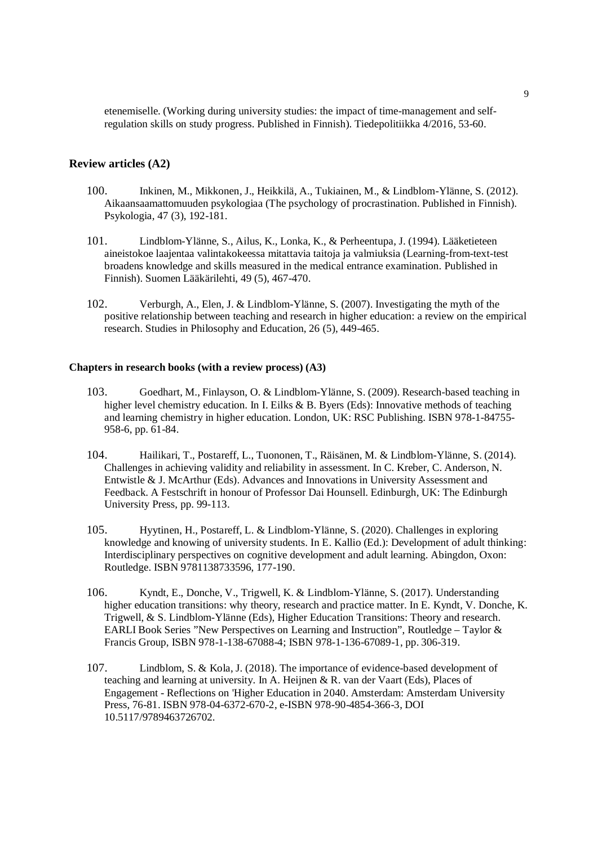etenemiselle. (Working during university studies: the impact of time-management and selfregulation skills on study progress. Published in Finnish). Tiedepolitiikka 4/2016, 53-60.

# **Review articles (A2)**

- 100. Inkinen, M., Mikkonen, J., Heikkilä, A., Tukiainen, M., & Lindblom-Ylänne, S. (2012). Aikaansaamattomuuden psykologiaa (The psychology of procrastination. Published in Finnish). Psykologia, 47 (3), 192-181.
- 101. Lindblom-Ylänne, S., Ailus, K., Lonka, K., & Perheentupa, J. (1994). Lääketieteen aineistokoe laajentaa valintakokeessa mitattavia taitoja ja valmiuksia (Learning-from-text-test broadens knowledge and skills measured in the medical entrance examination. Published in Finnish). Suomen Lääkärilehti, 49 (5), 467-470.
- 102. Verburgh, A., Elen, J. & Lindblom-Ylänne, S. (2007). Investigating the myth of the positive relationship between teaching and research in higher education: a review on the empirical research. Studies in Philosophy and Education, 26 (5), 449-465.

# **Chapters in research books (with a review process) (A3)**

- 103. Goedhart, M., Finlayson, O. & Lindblom-Ylänne, S. (2009). Research-based teaching in higher level chemistry education. In I. Eilks & B. Byers (Eds): Innovative methods of teaching and learning chemistry in higher education. London, UK: RSC Publishing. ISBN 978-1-84755- 958-6, pp. 61-84.
- 104. Hailikari, T., Postareff, L., Tuononen, T., Räisänen, M. & Lindblom-Ylänne, S. (2014). Challenges in achieving validity and reliability in assessment. In C. Kreber, C. Anderson, N. Entwistle & J. McArthur (Eds). Advances and Innovations in University Assessment and Feedback. A Festschrift in honour of Professor Dai Hounsell. Edinburgh, UK: The Edinburgh University Press, pp. 99-113.
- 105. Hyytinen, H., Postareff, L. & Lindblom-Ylänne, S. (2020). Challenges in exploring knowledge and knowing of university students. In E. Kallio (Ed.): Development of adult thinking: Interdisciplinary perspectives on cognitive development and adult learning. Abingdon, Oxon: Routledge. ISBN 9781138733596, 177-190.
- 106. Kyndt, E., Donche, V., Trigwell, K. & Lindblom-Ylänne, S. (2017). Understanding higher education transitions: why theory, research and practice matter. In E. Kyndt, V. Donche, K. Trigwell, & S. Lindblom-Ylänne (Eds), Higher Education Transitions: Theory and research. EARLI Book Series "New Perspectives on Learning and Instruction", Routledge – Taylor & Francis Group, ISBN 978-1-138-67088-4; ISBN 978-1-136-67089-1, pp. 306-319.
- 107. Lindblom, S. & Kola, J. (2018). The importance of evidence-based development of teaching and learning at university. In A. Heijnen & R. van der Vaart (Eds), Places of Engagement - Reflections on 'Higher Education in 2040. Amsterdam: Amsterdam University Press, 76-81. ISBN 978-04-6372-670-2, e-ISBN 978-90-4854-366-3, DOI 10.5117/9789463726702.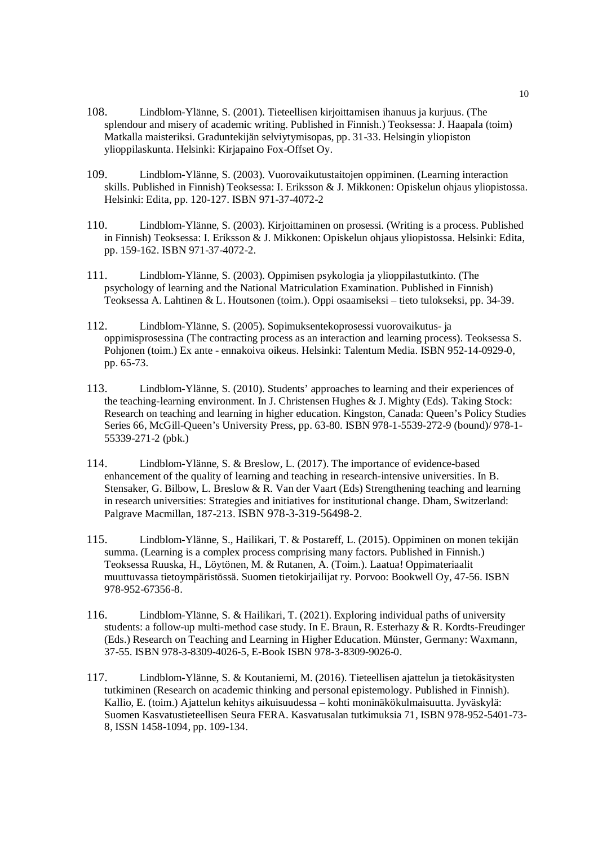- 108. Lindblom-Ylänne, S. (2001). Tieteellisen kirjoittamisen ihanuus ja kurjuus. (The splendour and misery of academic writing. Published in Finnish.) Teoksessa: J. Haapala (toim) Matkalla maisteriksi. Graduntekijän selviytymisopas, pp. 31-33. Helsingin yliopiston ylioppilaskunta. Helsinki: Kirjapaino Fox-Offset Oy.
- 109. Lindblom-Ylänne, S. (2003). Vuorovaikutustaitojen oppiminen. (Learning interaction skills. Published in Finnish) Teoksessa: I. Eriksson & J. Mikkonen: Opiskelun ohjaus yliopistossa. Helsinki: Edita, pp. 120-127. ISBN 971-37-4072-2
- 110. Lindblom-Ylänne, S. (2003). Kirjoittaminen on prosessi. (Writing is a process. Published in Finnish) Teoksessa: I. Eriksson & J. Mikkonen: Opiskelun ohjaus yliopistossa. Helsinki: Edita, pp. 159-162. ISBN 971-37-4072-2.
- 111. Lindblom-Ylänne, S. (2003). Oppimisen psykologia ja ylioppilastutkinto. (The psychology of learning and the National Matriculation Examination. Published in Finnish) Teoksessa A. Lahtinen & L. Houtsonen (toim.). Oppi osaamiseksi – tieto tulokseksi, pp. 34-39.
- 112. Lindblom-Ylänne, S. (2005). Sopimuksentekoprosessi vuorovaikutus- ja oppimisprosessina (The contracting process as an interaction and learning process). Teoksessa S. Pohjonen (toim.) Ex ante - ennakoiva oikeus. Helsinki: Talentum Media. ISBN 952-14-0929-0, pp. 65-73.
- 113. Lindblom-Ylänne, S. (2010). Students' approaches to learning and their experiences of the teaching-learning environment. In J. Christensen Hughes & J. Mighty (Eds). Taking Stock: Research on teaching and learning in higher education. Kingston, Canada: Queen's Policy Studies Series 66, McGill-Queen's University Press, pp. 63-80. ISBN 978-1-5539-272-9 (bound)/ 978-1- 55339-271-2 (pbk.)
- 114. Lindblom-Ylänne, S. & Breslow, L. (2017). The importance of evidence-based enhancement of the quality of learning and teaching in research-intensive universities. In B. Stensaker, G. Bilbow, L. Breslow & R. Van der Vaart (Eds) Strengthening teaching and learning in research universities: Strategies and initiatives for institutional change. Dham, Switzerland: Palgrave Macmillan, 187-213. ISBN 978-3-319-56498-2.
- 115. Lindblom-Ylänne, S., Hailikari, T. & Postareff, L. (2015). Oppiminen on monen tekijän summa. (Learning is a complex process comprising many factors. Published in Finnish.) Teoksessa Ruuska, H., Löytönen, M. & Rutanen, A. (Toim.). Laatua! Oppimateriaalit muuttuvassa tietoympäristössä. Suomen tietokirjailijat ry. Porvoo: Bookwell Oy, 47-56. ISBN 978-952-67356-8.
- 116. Lindblom-Ylänne, S. & Hailikari, T. (2021). Exploring individual paths of university students: a follow-up multi-method case study. In E. Braun, R. Esterhazy & R. Kordts-Freudinger (Eds.) Research on Teaching and Learning in Higher Education. Münster, Germany: Waxmann, 37-55. ISBN 978-3-8309-4026-5, E-Book ISBN 978-3-8309-9026-0.
- 117. Lindblom-Ylänne, S. & Koutaniemi, M. (2016). Tieteellisen ajattelun ja tietokäsitysten tutkiminen (Research on academic thinking and personal epistemology. Published in Finnish). Kallio, E. (toim.) Ajattelun kehitys aikuisuudessa – kohti moninäkökulmaisuutta. Jyväskylä: Suomen Kasvatustieteellisen Seura FERA. Kasvatusalan tutkimuksia 71, ISBN 978-952-5401-73- 8, ISSN 1458-1094, pp. 109-134.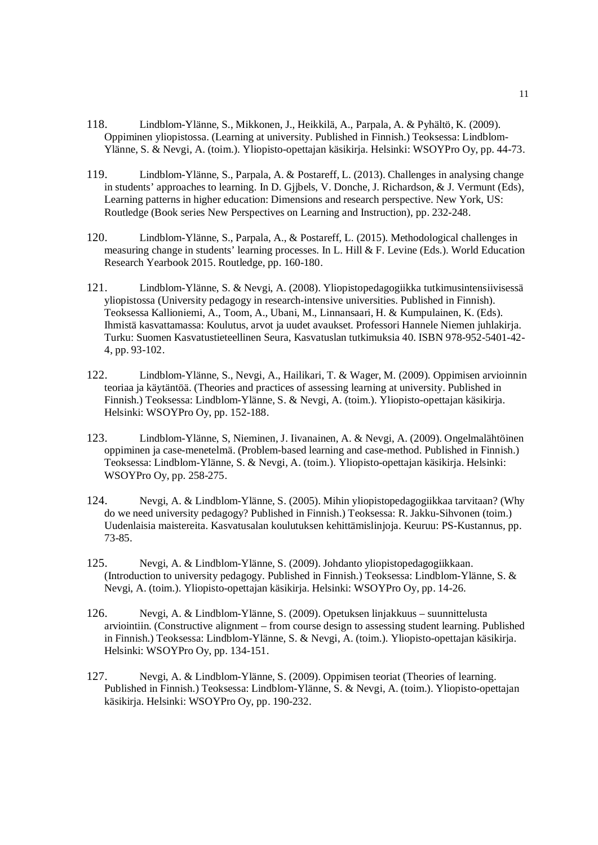- 118. Lindblom-Ylänne, S., Mikkonen, J., Heikkilä, A., Parpala, A. & Pyhältö, K. (2009). Oppiminen yliopistossa. (Learning at university. Published in Finnish.) Teoksessa: Lindblom-Ylänne, S. & Nevgi, A. (toim.). Yliopisto-opettajan käsikirja. Helsinki: WSOYPro Oy, pp. 44-73.
- 119. Lindblom-Ylänne, S., Parpala, A. & Postareff, L. (2013). Challenges in analysing change in students' approaches to learning. In D. Gjjbels, V. Donche, J. Richardson, & J. Vermunt (Eds), Learning patterns in higher education: Dimensions and research perspective. New York, US: Routledge (Book series New Perspectives on Learning and Instruction), pp. 232-248.
- 120. Lindblom-Ylänne, S., Parpala, A., & Postareff, L. (2015). Methodological challenges in measuring change in students' learning processes. In L. Hill & F. Levine (Eds.). World Education Research Yearbook 2015. Routledge, pp. 160-180.
- 121. Lindblom-Ylänne, S. & Nevgi, A. (2008). Yliopistopedagogiikka tutkimusintensiivisessä yliopistossa (University pedagogy in research-intensive universities. Published in Finnish). Teoksessa Kallioniemi, A., Toom, A., Ubani, M., Linnansaari, H. & Kumpulainen, K. (Eds). Ihmistä kasvattamassa: Koulutus, arvot ja uudet avaukset. Professori Hannele Niemen juhlakirja. Turku: Suomen Kasvatustieteellinen Seura, Kasvatuslan tutkimuksia 40. ISBN 978-952-5401-42- 4, pp. 93-102.
- 122. Lindblom-Ylänne, S., Nevgi, A., Hailikari, T. & Wager, M. (2009). Oppimisen arvioinnin teoriaa ja käytäntöä. (Theories and practices of assessing learning at university. Published in Finnish.) Teoksessa: Lindblom-Ylänne, S. & Nevgi, A. (toim.). Yliopisto-opettajan käsikirja. Helsinki: WSOYPro Oy, pp. 152-188.
- 123. Lindblom-Ylänne, S, Nieminen, J. Iivanainen, A. & Nevgi, A. (2009). Ongelmalähtöinen oppiminen ja case-menetelmä. (Problem-based learning and case-method. Published in Finnish.) Teoksessa: Lindblom-Ylänne, S. & Nevgi, A. (toim.). Yliopisto-opettajan käsikirja. Helsinki: WSOYPro Oy, pp. 258-275.
- 124. Nevgi, A. & Lindblom-Ylänne, S. (2005). Mihin yliopistopedagogiikkaa tarvitaan? (Why do we need university pedagogy? Published in Finnish.) Teoksessa: R. Jakku-Sihvonen (toim.) Uudenlaisia maistereita. Kasvatusalan koulutuksen kehittämislinjoja. Keuruu: PS-Kustannus, pp. 73-85.
- 125. Nevgi, A. & Lindblom-Ylänne, S. (2009). Johdanto yliopistopedagogiikkaan. (Introduction to university pedagogy. Published in Finnish.) Teoksessa: Lindblom-Ylänne, S. & Nevgi, A. (toim.). Yliopisto-opettajan käsikirja. Helsinki: WSOYPro Oy, pp. 14-26.
- 126. Nevgi, A. & Lindblom-Ylänne, S. (2009). Opetuksen linjakkuus suunnittelusta arviointiin. (Constructive alignment – from course design to assessing student learning. Published in Finnish.) Teoksessa: Lindblom-Ylänne, S. & Nevgi, A. (toim.). Yliopisto-opettajan käsikirja. Helsinki: WSOYPro Oy, pp. 134-151.
- 127. Nevgi, A. & Lindblom-Ylänne, S. (2009). Oppimisen teoriat (Theories of learning. Published in Finnish.) Teoksessa: Lindblom-Ylänne, S. & Nevgi, A. (toim.). Yliopisto-opettajan käsikirja. Helsinki: WSOYPro Oy, pp. 190-232.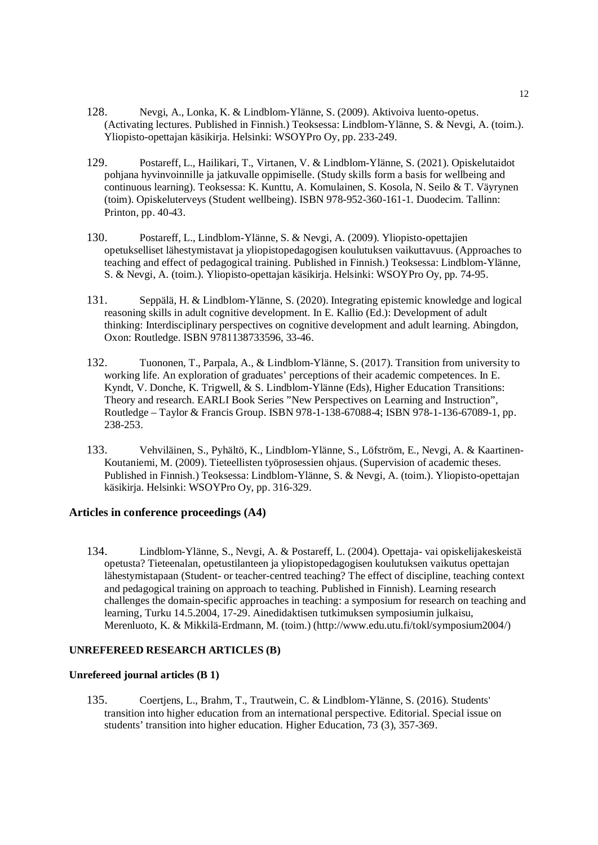- 128. Nevgi, A., Lonka, K. & Lindblom-Ylänne, S. (2009). Aktivoiva luento-opetus. (Activating lectures. Published in Finnish.) Teoksessa: Lindblom-Ylänne, S. & Nevgi, A. (toim.). Yliopisto-opettajan käsikirja. Helsinki: WSOYPro Oy, pp. 233-249.
- 129. Postareff, L., Hailikari, T., Virtanen, V. & Lindblom-Ylänne, S. (2021). Opiskelutaidot pohjana hyvinvoinnille ja jatkuvalle oppimiselle. (Study skills form a basis for wellbeing and continuous learning). Teoksessa: K. Kunttu, A. Komulainen, S. Kosola, N. Seilo & T. Väyrynen (toim). Opiskeluterveys (Student wellbeing). ISBN 978-952-360-161-1. Duodecim. Tallinn: Printon, pp. 40-43.
- 130. Postareff, L., Lindblom-Ylänne, S. & Nevgi, A. (2009). Yliopisto-opettajien opetukselliset lähestymistavat ja yliopistopedagogisen koulutuksen vaikuttavuus. (Approaches to teaching and effect of pedagogical training. Published in Finnish.) Teoksessa: Lindblom-Ylänne, S. & Nevgi, A. (toim.). Yliopisto-opettajan käsikirja. Helsinki: WSOYPro Oy, pp. 74-95.
- 131. Seppälä, H. & Lindblom-Ylänne, S. (2020). Integrating epistemic knowledge and logical reasoning skills in adult cognitive development. In E. Kallio (Ed.): Development of adult thinking: Interdisciplinary perspectives on cognitive development and adult learning. Abingdon, Oxon: Routledge. ISBN 9781138733596, 33-46.
- 132. Tuononen, T., Parpala, A., & Lindblom-Ylänne, S. (2017). Transition from university to working life. An exploration of graduates' perceptions of their academic competences. In E. Kyndt, V. Donche, K. Trigwell, & S. Lindblom-Ylänne (Eds), Higher Education Transitions: Theory and research. EARLI Book Series "New Perspectives on Learning and Instruction", Routledge – Taylor & Francis Group. ISBN 978-1-138-67088-4; ISBN 978-1-136-67089-1, pp. 238-253.
- 133. Vehviläinen, S., Pyhältö, K., Lindblom-Ylänne, S., Löfström, E., Nevgi, A. & Kaartinen-Koutaniemi, M. (2009). Tieteellisten työprosessien ohjaus. (Supervision of academic theses. Published in Finnish.) Teoksessa: Lindblom-Ylänne, S. & Nevgi, A. (toim.). Yliopisto-opettajan käsikirja. Helsinki: WSOYPro Oy, pp. 316-329.

# **Articles in conference proceedings (A4)**

134. Lindblom-Ylänne, S., Nevgi, A. & Postareff, L. (2004). Opettaja- vai opiskelijakeskeistä opetusta? Tieteenalan, opetustilanteen ja yliopistopedagogisen koulutuksen vaikutus opettajan lähestymistapaan (Student- or teacher-centred teaching? The effect of discipline, teaching context and pedagogical training on approach to teaching. Published in Finnish). Learning research challenges the domain-specific approaches in teaching: a symposium for research on teaching and learning, Turku 14.5.2004, 17-29. Ainedidaktisen tutkimuksen symposiumin julkaisu, Merenluoto, K. & Mikkilä-Erdmann, M. (toim.) (http://www.edu.utu.fi/tokl/symposium2004/)

#### **UNREFEREED RESEARCH ARTICLES (B)**

### **Unrefereed journal articles (B 1)**

135. Coertjens, L., Brahm, T., Trautwein, C. & Lindblom-Ylänne, S. (2016). Students' transition into higher education from an international perspective. Editorial. Special issue on students' transition into higher education. Higher Education, 73 (3), 357-369.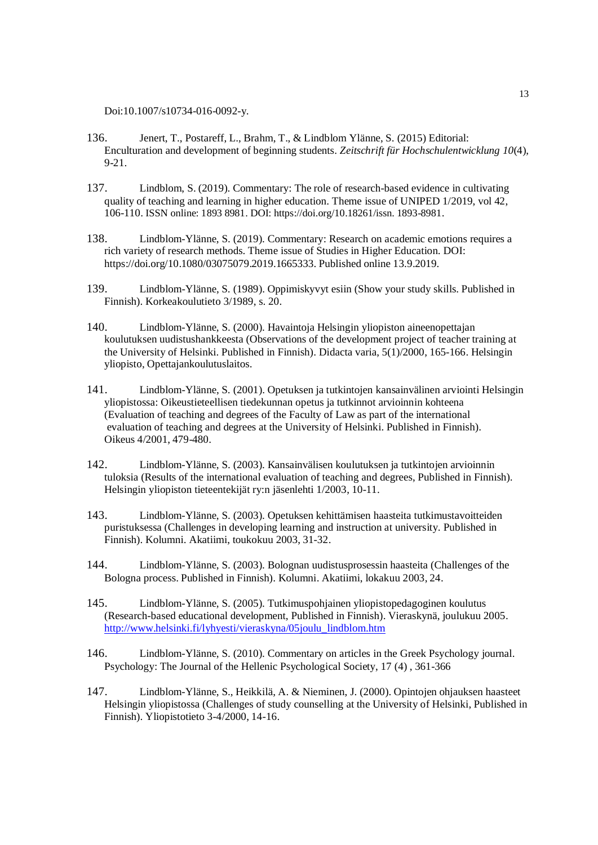Doi:10.1007/s10734-016-0092-y.

- 136. Jenert, T., Postareff, L., Brahm, T., & Lindblom Ylänne, S. (2015) Editorial: Enculturation and development of beginning students. *Zeitschrift für Hochschulentwicklung 10*(4), 9-21.
- 137. Lindblom, S. (2019). Commentary: The role of research-based evidence in cultivating quality of teaching and learning in higher education. Theme issue of UNIPED 1/2019, vol 42, 106-110. ISSN online: 1893 8981. DOI: https://doi.org/10.18261/issn. 1893-8981.
- 138. Lindblom-Ylänne, S. (2019). Commentary: Research on academic emotions requires a rich variety of research methods. Theme issue of Studies in Higher Education. DOI: https://doi.org/10.1080/03075079.2019.1665333. Published online 13.9.2019.
- 139. Lindblom-Ylänne, S. (1989). Oppimiskyvyt esiin (Show your study skills. Published in Finnish). Korkeakoulutieto 3/1989, s. 20.
- 140. Lindblom-Ylänne, S. (2000). Havaintoja Helsingin yliopiston aineenopettajan koulutuksen uudistushankkeesta (Observations of the development project of teacher training at the University of Helsinki. Published in Finnish). Didacta varia, 5(1)/2000, 165-166. Helsingin yliopisto, Opettajankoulutuslaitos.
- 141. Lindblom-Ylänne, S. (2001). Opetuksen ja tutkintojen kansainvälinen arviointi Helsingin yliopistossa: Oikeustieteellisen tiedekunnan opetus ja tutkinnot arvioinnin kohteena (Evaluation of teaching and degrees of the Faculty of Law as part of the international evaluation of teaching and degrees at the University of Helsinki. Published in Finnish). Oikeus 4/2001, 479-480.
- 142. Lindblom-Ylänne, S. (2003). Kansainvälisen koulutuksen ja tutkintojen arvioinnin tuloksia (Results of the international evaluation of teaching and degrees, Published in Finnish). Helsingin yliopiston tieteentekijät ry:n jäsenlehti 1/2003, 10-11.
- 143. Lindblom-Ylänne, S. (2003). Opetuksen kehittämisen haasteita tutkimustavoitteiden puristuksessa (Challenges in developing learning and instruction at university. Published in Finnish). Kolumni. Akatiimi, toukokuu 2003, 31-32.
- 144. Lindblom-Ylänne, S. (2003). Bolognan uudistusprosessin haasteita (Challenges of the Bologna process. Published in Finnish). Kolumni. Akatiimi, lokakuu 2003, 24.
- 145. Lindblom-Ylänne, S. (2005). Tutkimuspohjainen yliopistopedagoginen koulutus (Research-based educational development, Published in Finnish). Vieraskynä, joulukuu 2005. http://www.helsinki.fi/lyhyesti/vieraskyna/05joulu\_lindblom.htm
- 146. Lindblom-Ylänne, S. (2010). Commentary on articles in the Greek Psychology journal. Psychology: The Journal of the Hellenic Psychological Society, 17 (4) , 361-366
- 147. Lindblom-Ylänne, S., Heikkilä, A. & Nieminen, J. (2000). Opintojen ohjauksen haasteet Helsingin yliopistossa (Challenges of study counselling at the University of Helsinki, Published in Finnish). Yliopistotieto 3-4/2000, 14-16.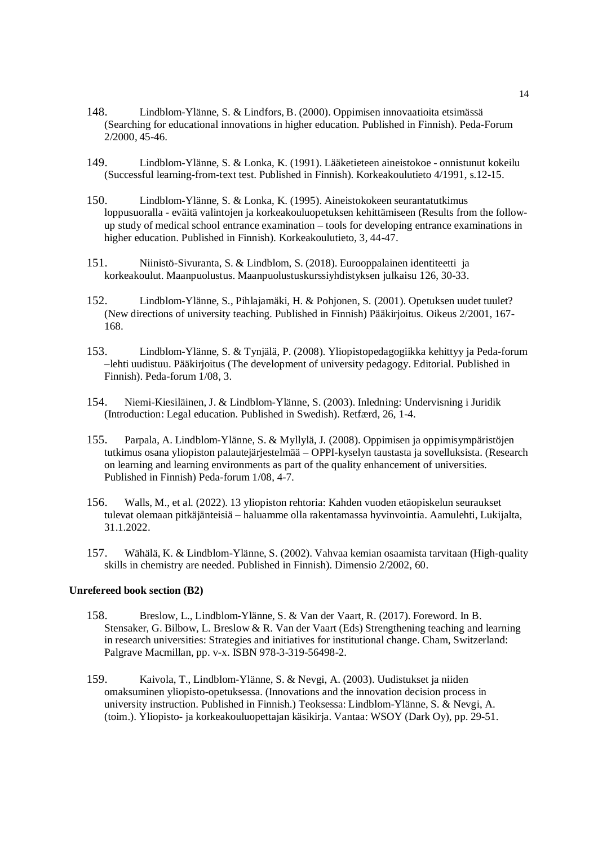- 148. Lindblom-Ylänne, S. & Lindfors, B. (2000). Oppimisen innovaatioita etsimässä (Searching for educational innovations in higher education. Published in Finnish). Peda-Forum 2/2000, 45-46.
- 149. Lindblom-Ylänne, S. & Lonka, K. (1991). Lääketieteen aineistokoe onnistunut kokeilu (Successful learning-from-text test. Published in Finnish). Korkeakoulutieto 4/1991, s.12-15.
- 150. Lindblom-Ylänne, S. & Lonka, K. (1995). Aineistokokeen seurantatutkimus loppusuoralla - eväitä valintojen ja korkeakouluopetuksen kehittämiseen (Results from the followup study of medical school entrance examination – tools for developing entrance examinations in higher education. Published in Finnish). Korkeakoulutieto, 3, 44-47.
- 151. Niinistö-Sivuranta, S. & Lindblom, S. (2018). Eurooppalainen identiteetti ja korkeakoulut. Maanpuolustus. Maanpuolustuskurssiyhdistyksen julkaisu 126, 30-33.
- 152. Lindblom-Ylänne, S., Pihlajamäki, H. & Pohjonen, S. (2001). Opetuksen uudet tuulet? (New directions of university teaching. Published in Finnish) Pääkirjoitus. Oikeus 2/2001, 167- 168.
- 153. Lindblom-Ylänne, S. & Tynjälä, P. (2008). Yliopistopedagogiikka kehittyy ja Peda-forum –lehti uudistuu. Pääkirjoitus (The development of university pedagogy. Editorial. Published in Finnish). Peda-forum 1/08, 3.
- 154. Niemi-Kiesiläinen, J. & Lindblom-Ylänne, S. (2003). Inledning: Undervisning i Juridik (Introduction: Legal education. Published in Swedish). Retfærd, 26, 1-4.
- 155. Parpala, A. Lindblom-Ylänne, S. & Myllylä, J. (2008). Oppimisen ja oppimisympäristöjen tutkimus osana yliopiston palautejärjestelmää – OPPI-kyselyn taustasta ja sovelluksista. (Research on learning and learning environments as part of the quality enhancement of universities. Published in Finnish) Peda-forum 1/08, 4-7.
- 156. Walls, M., et al. (2022). 13 yliopiston rehtoria: Kahden vuoden etäopiskelun seuraukset tulevat olemaan pitkäjänteisiä – haluamme olla rakentamassa hyvinvointia. Aamulehti, Lukijalta, 31.1.2022.
- 157. Wähälä, K. & Lindblom-Ylänne, S. (2002). Vahvaa kemian osaamista tarvitaan (High-quality skills in chemistry are needed. Published in Finnish). Dimensio 2/2002, 60.

### **Unrefereed book section (B2)**

- 158. Breslow, L., Lindblom-Ylänne, S. & Van der Vaart, R. (2017). Foreword. In B. Stensaker, G. Bilbow, L. Breslow & R. Van der Vaart (Eds) Strengthening teaching and learning in research universities: Strategies and initiatives for institutional change. Cham, Switzerland: Palgrave Macmillan, pp. v-x. ISBN 978-3-319-56498-2.
- 159. Kaivola, T., Lindblom-Ylänne, S. & Nevgi, A. (2003). Uudistukset ja niiden omaksuminen yliopisto-opetuksessa. (Innovations and the innovation decision process in university instruction. Published in Finnish.) Teoksessa: Lindblom-Ylänne, S. & Nevgi, A. (toim.). Yliopisto- ja korkeakouluopettajan käsikirja. Vantaa: WSOY (Dark Oy), pp. 29-51.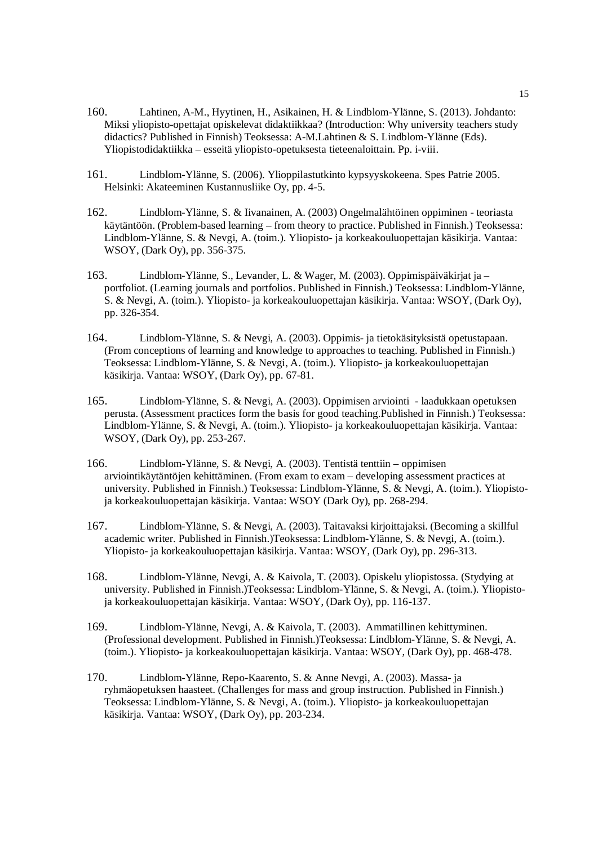- 160. Lahtinen, A-M., Hyytinen, H., Asikainen, H. & Lindblom-Ylänne, S. (2013). Johdanto: Miksi yliopisto-opettajat opiskelevat didaktiikkaa? (Introduction: Why university teachers study didactics? Published in Finnish) Teoksessa: A-M.Lahtinen & S. Lindblom-Ylänne (Eds). Yliopistodidaktiikka – esseitä yliopisto-opetuksesta tieteenaloittain. Pp. i-viii.
- 161. Lindblom-Ylänne, S. (2006). Ylioppilastutkinto kypsyyskokeena. Spes Patrie 2005. Helsinki: Akateeminen Kustannusliike Oy, pp. 4-5.
- 162. Lindblom-Ylänne, S. & Iivanainen, A. (2003) Ongelmalähtöinen oppiminen teoriasta käytäntöön. (Problem-based learning – from theory to practice. Published in Finnish.) Teoksessa: Lindblom-Ylänne, S. & Nevgi, A. (toim.). Yliopisto- ja korkeakouluopettajan käsikirja. Vantaa: WSOY, (Dark Oy), pp. 356-375.
- 163. Lindblom-Ylänne, S., Levander, L. & Wager, M. (2003). Oppimispäiväkirjat ja portfoliot. (Learning journals and portfolios. Published in Finnish.) Teoksessa: Lindblom-Ylänne, S. & Nevgi, A. (toim.). Yliopisto- ja korkeakouluopettajan käsikirja. Vantaa: WSOY, (Dark Oy), pp. 326-354.
- 164. Lindblom-Ylänne, S. & Nevgi, A. (2003). Oppimis- ja tietokäsityksistä opetustapaan. (From conceptions of learning and knowledge to approaches to teaching. Published in Finnish.) Teoksessa: Lindblom-Ylänne, S. & Nevgi, A. (toim.). Yliopisto- ja korkeakouluopettajan käsikirja. Vantaa: WSOY, (Dark Oy), pp. 67-81.
- 165. Lindblom-Ylänne, S. & Nevgi, A. (2003). Oppimisen arviointi laadukkaan opetuksen perusta. (Assessment practices form the basis for good teaching.Published in Finnish.) Teoksessa: Lindblom-Ylänne, S. & Nevgi, A. (toim.). Yliopisto- ja korkeakouluopettajan käsikirja. Vantaa: WSOY, (Dark Oy), pp. 253-267.
- 166. Lindblom-Ylänne, S. & Nevgi, A. (2003). Tentistä tenttiin oppimisen arviointikäytäntöjen kehittäminen. (From exam to exam – developing assessment practices at university. Published in Finnish.) Teoksessa: Lindblom-Ylänne, S. & Nevgi, A. (toim.). Yliopistoja korkeakouluopettajan käsikirja. Vantaa: WSOY (Dark Oy), pp. 268-294.
- 167. Lindblom-Ylänne, S. & Nevgi, A. (2003). Taitavaksi kirjoittajaksi. (Becoming a skillful academic writer. Published in Finnish.)Teoksessa: Lindblom-Ylänne, S. & Nevgi, A. (toim.). Yliopisto- ja korkeakouluopettajan käsikirja. Vantaa: WSOY, (Dark Oy), pp. 296-313.
- 168. Lindblom-Ylänne, Nevgi, A. & Kaivola, T. (2003). Opiskelu yliopistossa. (Stydying at university. Published in Finnish.)Teoksessa: Lindblom-Ylänne, S. & Nevgi, A. (toim.). Yliopistoja korkeakouluopettajan käsikirja. Vantaa: WSOY, (Dark Oy), pp. 116-137.
- 169. Lindblom-Ylänne, Nevgi, A. & Kaivola, T. (2003). Ammatillinen kehittyminen. (Professional development. Published in Finnish.)Teoksessa: Lindblom-Ylänne, S. & Nevgi, A. (toim.). Yliopisto- ja korkeakouluopettajan käsikirja. Vantaa: WSOY, (Dark Oy), pp. 468-478.
- 170. Lindblom-Ylänne, Repo-Kaarento, S. & Anne Nevgi, A. (2003). Massa- ja ryhmäopetuksen haasteet. (Challenges for mass and group instruction. Published in Finnish.) Teoksessa: Lindblom-Ylänne, S. & Nevgi, A. (toim.). Yliopisto- ja korkeakouluopettajan käsikirja. Vantaa: WSOY, (Dark Oy), pp. 203-234.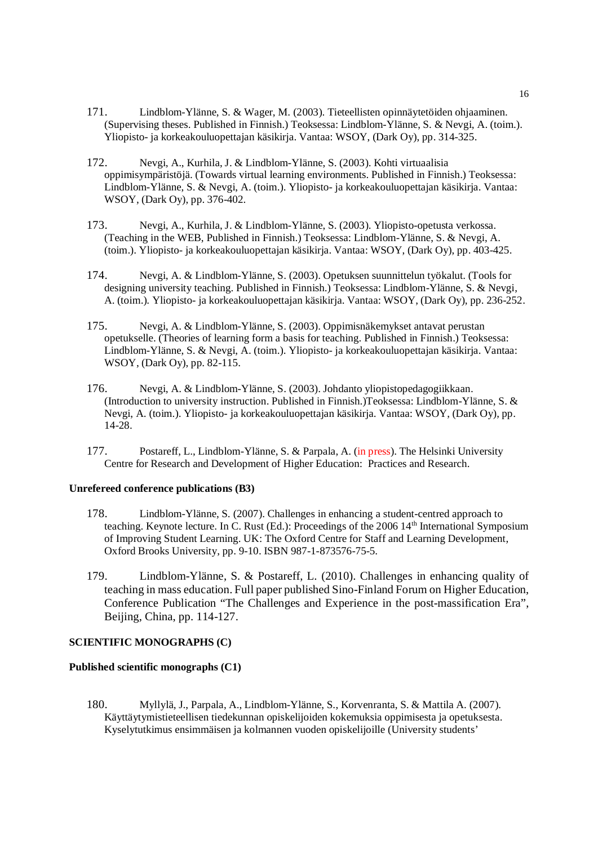- 171. Lindblom-Ylänne, S. & Wager, M. (2003). Tieteellisten opinnäytetöiden ohjaaminen. (Supervising theses. Published in Finnish.) Teoksessa: Lindblom-Ylänne, S. & Nevgi, A. (toim.). Yliopisto- ja korkeakouluopettajan käsikirja. Vantaa: WSOY, (Dark Oy), pp. 314-325.
- 172. Nevgi, A., Kurhila, J. & Lindblom-Ylänne, S. (2003). Kohti virtuaalisia oppimisympäristöjä. (Towards virtual learning environments. Published in Finnish.) Teoksessa: Lindblom-Ylänne, S. & Nevgi, A. (toim.). Yliopisto- ja korkeakouluopettajan käsikirja. Vantaa: WSOY, (Dark Oy), pp. 376-402.
- 173. Nevgi, A., Kurhila, J. & Lindblom-Ylänne, S. (2003). Yliopisto-opetusta verkossa. (Teaching in the WEB, Published in Finnish.) Teoksessa: Lindblom-Ylänne, S. & Nevgi, A. (toim.). Yliopisto- ja korkeakouluopettajan käsikirja. Vantaa: WSOY, (Dark Oy), pp. 403-425.
- 174. Nevgi, A. & Lindblom-Ylänne, S. (2003). Opetuksen suunnittelun työkalut. (Tools for designing university teaching. Published in Finnish.) Teoksessa: Lindblom-Ylänne, S. & Nevgi, A. (toim.). Yliopisto- ja korkeakouluopettajan käsikirja. Vantaa: WSOY, (Dark Oy), pp. 236-252.
- 175. Nevgi, A. & Lindblom-Ylänne, S. (2003). Oppimisnäkemykset antavat perustan opetukselle. (Theories of learning form a basis for teaching. Published in Finnish.) Teoksessa: Lindblom-Ylänne, S. & Nevgi, A. (toim.). Yliopisto- ja korkeakouluopettajan käsikirja. Vantaa: WSOY, (Dark Oy), pp. 82-115.
- 176. Nevgi, A. & Lindblom-Ylänne, S. (2003). Johdanto yliopistopedagogiikkaan. (Introduction to university instruction. Published in Finnish.)Teoksessa: Lindblom-Ylänne, S. & Nevgi, A. (toim.). Yliopisto- ja korkeakouluopettajan käsikirja. Vantaa: WSOY, (Dark Oy), pp. 14-28.
- 177. Postareff, L., Lindblom-Ylänne, S. & Parpala, A. (in press). The Helsinki University Centre for Research and Development of Higher Education: Practices and Research.

### **Unrefereed conference publications (B3)**

- 178. Lindblom-Ylänne, S. (2007). Challenges in enhancing a student-centred approach to teaching. Keynote lecture. In C. Rust (Ed.): Proceedings of the 2006 14<sup>th</sup> International Symposium of Improving Student Learning. UK: The Oxford Centre for Staff and Learning Development, Oxford Brooks University, pp. 9-10. ISBN 987-1-873576-75-5.
- 179. Lindblom-Ylänne, S. & Postareff, L. (2010). Challenges in enhancing quality of teaching in mass education. Full paper published Sino-Finland Forum on Higher Education, Conference Publication "The Challenges and Experience in the post-massification Era", Beijing, China, pp. 114-127.

## **SCIENTIFIC MONOGRAPHS (C)**

### **Published scientific monographs (C1)**

180. Myllylä, J., Parpala, A., Lindblom-Ylänne, S., Korvenranta, S. & Mattila A. (2007). Käyttäytymistieteellisen tiedekunnan opiskelijoiden kokemuksia oppimisesta ja opetuksesta. Kyselytutkimus ensimmäisen ja kolmannen vuoden opiskelijoille (University students'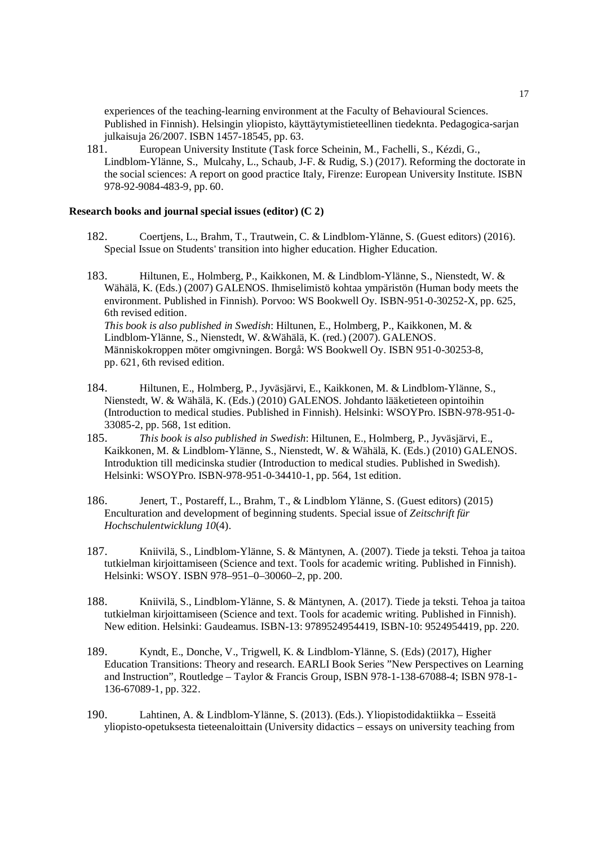experiences of the teaching-learning environment at the Faculty of Behavioural Sciences. Published in Finnish). Helsingin yliopisto, käyttäytymistieteellinen tiedeknta. Pedagogica-sarjan julkaisuja 26/2007. ISBN 1457-18545, pp. 63.

181. European University Institute (Task force Scheinin, M., Fachelli, S., Kézdi, G., Lindblom-Ylänne, S., Mulcahy, L., Schaub, J-F. & Rudig, S.) (2017). Reforming the doctorate in the social sciences: A report on good practice Italy, Firenze: European University Institute. ISBN 978-92-9084-483-9, pp. 60.

#### **Research books and journal special issues (editor) (C 2)**

- 182. Coertjens, L., Brahm, T., Trautwein, C. & Lindblom-Ylänne, S. (Guest editors) (2016). Special Issue on Students' transition into higher education. Higher Education.
- 183. Hiltunen, E., Holmberg, P., Kaikkonen, M. & Lindblom-Ylänne, S., Nienstedt, W. & Wähälä, K. (Eds.) (2007) GALENOS. Ihmiselimistö kohtaa ympäristön (Human body meets the environment. Published in Finnish). Porvoo: WS Bookwell Oy. ISBN-951-0-30252-X, pp. 625, 6th revised edition. *This book is also published in Swedish*: Hiltunen, E., Holmberg, P., Kaikkonen, M. & Lindblom-Ylänne, S., Nienstedt, W. &Wähälä, K. (red.) (2007). GALENOS. Människokroppen möter omgivningen. Borgå: WS Bookwell Oy. ISBN 951-0-30253-8, pp. 621, 6th revised edition.
- 184. Hiltunen, E., Holmberg, P., Jyväsjärvi, E., Kaikkonen, M. & Lindblom-Ylänne, S., Nienstedt, W. & Wähälä, K. (Eds.) (2010) GALENOS. Johdanto lääketieteen opintoihin (Introduction to medical studies. Published in Finnish). Helsinki: WSOYPro. ISBN-978-951-0- 33085-2, pp. 568, 1st edition.
- 185. *This book is also published in Swedish*: Hiltunen, E., Holmberg, P., Jyväsjärvi, E., Kaikkonen, M. & Lindblom-Ylänne, S., Nienstedt, W. & Wähälä, K. (Eds.) (2010) GALENOS. Introduktion till medicinska studier (Introduction to medical studies. Published in Swedish). Helsinki: WSOYPro. ISBN-978-951-0-34410-1, pp. 564, 1st edition.
- 186. Jenert, T., Postareff, L., Brahm, T., & Lindblom Ylänne, S. (Guest editors) (2015) Enculturation and development of beginning students. Special issue of *Zeitschrift für Hochschulentwicklung 10*(4).
- 187. Kniivilä, S., Lindblom-Ylänne, S. & Mäntynen, A. (2007). Tiede ja teksti. Tehoa ja taitoa tutkielman kirjoittamiseen (Science and text. Tools for academic writing. Published in Finnish). Helsinki: WSOY. ISBN 978–951–0–30060–2, pp. 200.
- 188. Kniivilä, S., Lindblom-Ylänne, S. & Mäntynen, A. (2017). Tiede ja teksti. Tehoa ja taitoa tutkielman kirjoittamiseen (Science and text. Tools for academic writing. Published in Finnish). New edition. Helsinki: Gaudeamus. ISBN-13: 9789524954419, ISBN-10: 9524954419, pp. 220.
- 189. Kyndt, E., Donche, V., Trigwell, K. & Lindblom-Ylänne, S. (Eds) (2017), Higher Education Transitions: Theory and research. EARLI Book Series "New Perspectives on Learning and Instruction", Routledge – Taylor & Francis Group, ISBN 978-1-138-67088-4; ISBN 978-1- 136-67089-1, pp. 322.
- 190. Lahtinen, A. & Lindblom-Ylänne, S. (2013). (Eds.). Yliopistodidaktiikka Esseitä yliopisto-opetuksesta tieteenaloittain (University didactics – essays on university teaching from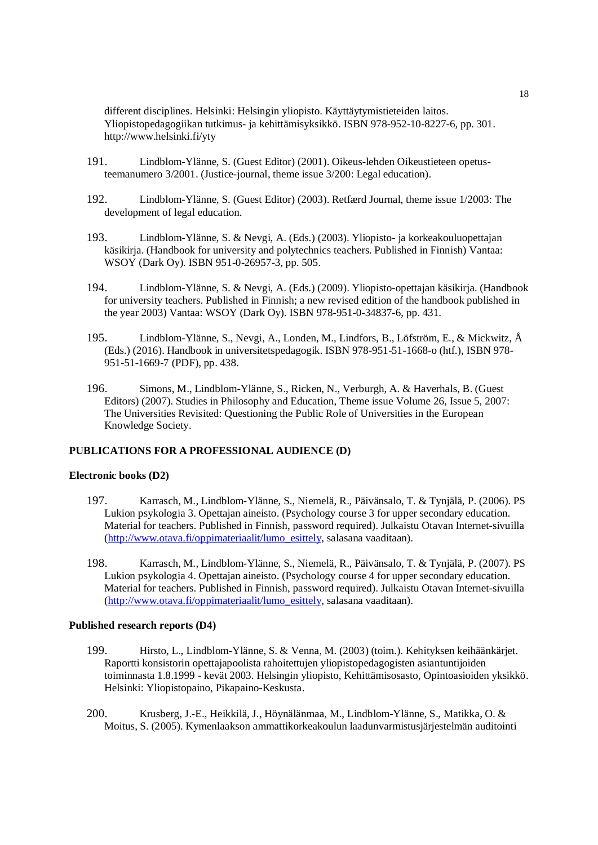different disciplines. Helsinki: Helsingin yliopisto. Käyttäytymistieteiden laitos. Yliopistopedagogiikan tutkimus- ja kehittämisyksikkö. ISBN 978-952-10-8227-6, pp. 301. http://www.helsinki.fi/yty

- 191. Lindblom-Ylänne, S. (Guest Editor) (2001). Oikeus-lehden Oikeustieteen opetusteemanumero 3/2001. (Justice-journal, theme issue 3/200: Legal education).
- 192. Lindblom-Ylänne, S. (Guest Editor) (2003). Retfærd Journal, theme issue 1/2003: The development of legal education.
- 193. Lindblom-Ylänne, S. & Nevgi, A. (Eds.) (2003). Yliopisto- ja korkeakouluopettajan käsikirja. (Handbook for university and polytechnics teachers. Published in Finnish) Vantaa: WSOY (Dark Oy). ISBN 951-0-26957-3, pp. 505.
- 194. Lindblom-Ylänne, S. & Nevgi, A. (Eds.) (2009). Yliopisto-opettajan käsikirja. (Handbook for university teachers. Published in Finnish; a new revised edition of the handbook published in the year 2003) Vantaa: WSOY (Dark Oy). ISBN 978-951-0-34837-6, pp. 431.
- 195. Lindblom-Ylänne, S., Nevgi, A., Londen, M., Lindfors, B., Löfström, E., & Mickwitz, Å (Eds.) (2016). Handbook in universitetspedagogik. ISBN 978-951-51-1668-o (htf.), ISBN 978- 951-51-1669-7 (PDF), pp. 438.
- 196. Simons, M., Lindblom-Ylänne, S., Ricken, N., Verburgh, A. & Haverhals, B. (Guest Editors) (2007). Studies in Philosophy and Education, Theme issue Volume 26, Issue 5, 2007: The Universities Revisited: Questioning the Public Role of Universities in the European Knowledge Society.

### **PUBLICATIONS FOR A PROFESSIONAL AUDIENCE (D)**

#### **Electronic books (D2)**

- 197. Karrasch, M., Lindblom-Ylänne, S., Niemelä, R., Päivänsalo, T. & Tynjälä, P. (2006). PS Lukion psykologia 3. Opettajan aineisto. (Psychology course 3 for upper secondary education. Material for teachers. Published in Finnish, password required). Julkaistu Otavan Internet-sivuilla (http://www.otava.fi/oppimateriaalit/lumo\_esittely, salasana vaaditaan).
- 198. Karrasch, M., Lindblom-Ylänne, S., Niemelä, R., Päivänsalo, T. & Tynjälä, P. (2007). PS Lukion psykologia 4. Opettajan aineisto. (Psychology course 4 for upper secondary education. Material for teachers. Published in Finnish, password required). Julkaistu Otavan Internet-sivuilla (http://www.otava.fi/oppimateriaalit/lumo\_esittely, salasana vaaditaan).

#### **Published research reports (D4)**

- 199. Hirsto, L., Lindblom-Ylänne, S. & Venna, M. (2003) (toim.). Kehityksen keihäänkärjet. Raportti konsistorin opettajapoolista rahoitettujen yliopistopedagogisten asiantuntijoiden toiminnasta 1.8.1999 - kevät 2003. Helsingin yliopisto, Kehittämisosasto, Opintoasioiden yksikkö. Helsinki: Yliopistopaino, Pikapaino-Keskusta.
- 200. Krusberg, J.-E., Heikkilä, J., Höynälänmaa, M., Lindblom-Ylänne, S., Matikka, O. & Moitus, S. (2005). Kymenlaakson ammattikorkeakoulun laadunvarmistusjärjestelmän auditointi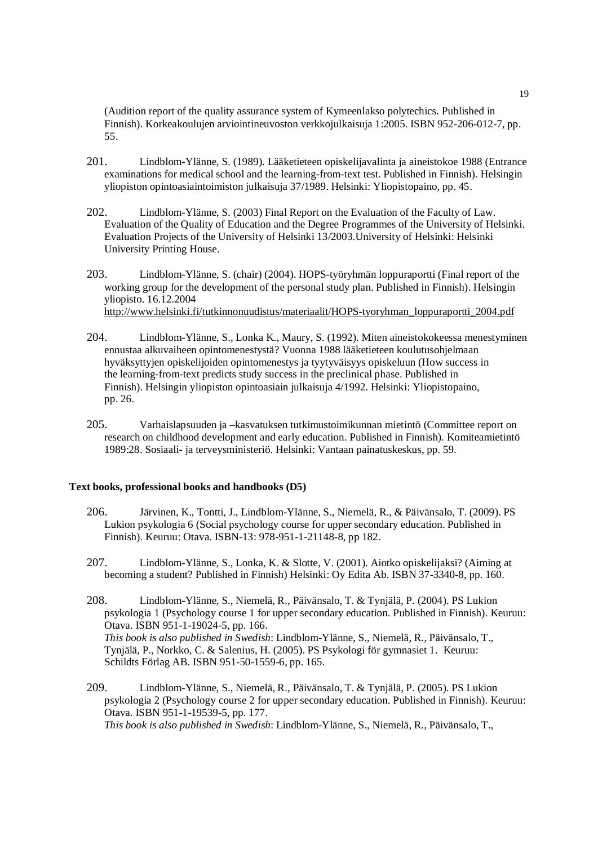(Audition report of the quality assurance system of Kymeenlakso polytechics. Published in Finnish). Korkeakoulujen arviointineuvoston verkkojulkaisuja 1:2005. ISBN 952-206-012-7, pp. 55.

- 201. Lindblom-Ylänne, S. (1989). Lääketieteen opiskelijavalinta ja aineistokoe 1988 (Entrance examinations for medical school and the learning-from-text test. Published in Finnish). Helsingin yliopiston opintoasiaintoimiston julkaisuja 37/1989. Helsinki: Yliopistopaino, pp. 45.
- 202. Lindblom-Ylänne, S. (2003) Final Report on the Evaluation of the Faculty of Law. Evaluation of the Quality of Education and the Degree Programmes of the University of Helsinki. Evaluation Projects of the University of Helsinki 13/2003.University of Helsinki: Helsinki University Printing House.
- 203. Lindblom-Ylänne, S. (chair) (2004). HOPS-työryhmän loppuraportti (Final report of the working group for the development of the personal study plan. Published in Finnish). Helsingin yliopisto. 16.12.2004 http://www.helsinki.fi/tutkinnonuudistus/materiaalit/HOPS-tyoryhman\_loppuraportti\_2004.pdf
- 204. Lindblom-Ylänne, S., Lonka K., Maury, S. (1992). Miten aineistokokeessa menestyminen ennustaa alkuvaiheen opintomenestystä? Vuonna 1988 lääketieteen koulutusohjelmaan hyväksyttyjen opiskelijoiden opintomenestys ja tyytyväisyys opiskeluun (How success in the learning-from-text predicts study success in the preclinical phase. Published in Finnish). Helsingin yliopiston opintoasiain julkaisuja 4/1992. Helsinki: Yliopistopaino, pp. 26.
- 205. Varhaislapsuuden ja –kasvatuksen tutkimustoimikunnan mietintö (Committee report on research on childhood development and early education. Published in Finnish). Komiteamietintö 1989:28. Sosiaali- ja terveysministeriö. Helsinki: Vantaan painatuskeskus, pp. 59.

#### **Text books, professional books and handbooks (D5)**

- 206. Järvinen, K., Tontti, J., Lindblom-Ylänne, S., Niemelä, R., & Päivänsalo, T. (2009). PS Lukion psykologia 6 (Social psychology course for upper secondary education. Published in Finnish). Keuruu: Otava. ISBN-13: 978-951-1-21148-8, pp 182.
- 207. Lindblom-Ylänne, S., Lonka, K. & Slotte, V. (2001). Aiotko opiskelijaksi? (Aiming at becoming a student? Published in Finnish) Helsinki: Oy Edita Ab. ISBN 37-3340-8, pp. 160.
- 208. Lindblom-Ylänne, S., Niemelä, R., Päivänsalo, T. & Tynjälä, P. (2004). PS Lukion psykologia 1 (Psychology course 1 for upper secondary education. Published in Finnish). Keuruu: Otava. ISBN 951-1-19024-5, pp. 166. *This book is also published in Swedish*: Lindblom-Ylänne, S., Niemelä, R., Päivänsalo, T., Tynjälä, P., Norkko, C. & Salenius, H. (2005). PS Psykologi för gymnasiet 1. Keuruu: Schildts Förlag AB. ISBN 951-50-1559-6, pp. 165.
- 209. Lindblom-Ylänne, S., Niemelä, R., Päivänsalo, T. & Tynjälä, P. (2005). PS Lukion psykologia 2 (Psychology course 2 for upper secondary education. Published in Finnish). Keuruu: Otava. ISBN 951-1-19539-5, pp. 177. *This book is also published in Swedish*: Lindblom-Ylänne, S., Niemelä, R., Päivänsalo, T.,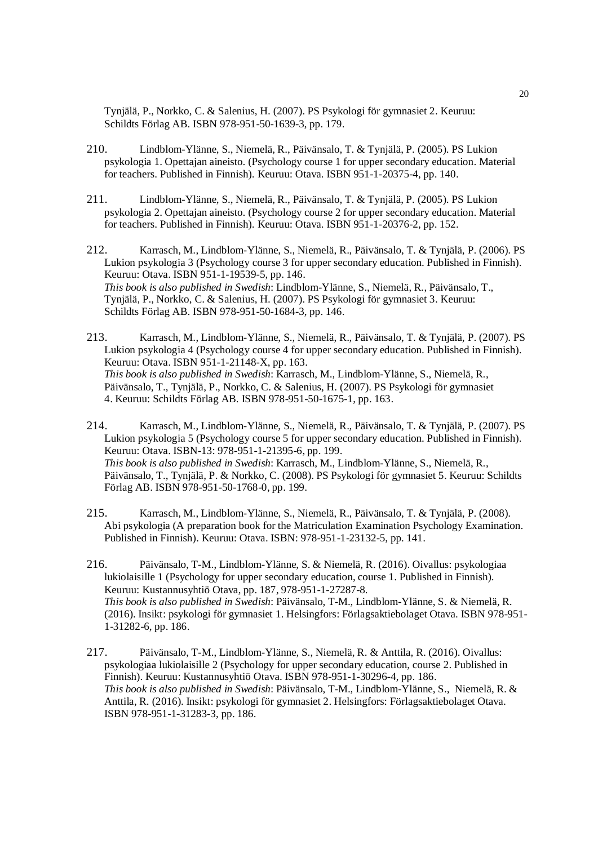Tynjälä, P., Norkko, C. & Salenius, H. (2007). PS Psykologi för gymnasiet 2. Keuruu: Schildts Förlag AB. ISBN 978-951-50-1639-3, pp. 179.

- 210. Lindblom-Ylänne, S., Niemelä, R., Päivänsalo, T. & Tynjälä, P. (2005). PS Lukion psykologia 1. Opettajan aineisto. (Psychology course 1 for upper secondary education. Material for teachers. Published in Finnish). Keuruu: Otava. ISBN 951-1-20375-4, pp. 140.
- 211. Lindblom-Ylänne, S., Niemelä, R., Päivänsalo, T. & Tynjälä, P. (2005). PS Lukion psykologia 2. Opettajan aineisto. (Psychology course 2 for upper secondary education. Material for teachers. Published in Finnish). Keuruu: Otava. ISBN 951-1-20376-2, pp. 152.
- 212. Karrasch, M., Lindblom-Ylänne, S., Niemelä, R., Päivänsalo, T. & Tynjälä, P. (2006). PS Lukion psykologia 3 (Psychology course 3 for upper secondary education. Published in Finnish). Keuruu: Otava. ISBN 951-1-19539-5, pp. 146. *This book is also published in Swedish*: Lindblom-Ylänne, S., Niemelä, R., Päivänsalo, T., Tynjälä, P., Norkko, C. & Salenius, H. (2007). PS Psykologi för gymnasiet 3. Keuruu: Schildts Förlag AB. ISBN 978-951-50-1684-3, pp. 146.
- 213. Karrasch, M., Lindblom-Ylänne, S., Niemelä, R., Päivänsalo, T. & Tynjälä, P. (2007). PS Lukion psykologia 4 (Psychology course 4 for upper secondary education. Published in Finnish). Keuruu: Otava. ISBN 951-1-21148-X, pp. 163. *This book is also published in Swedish*: Karrasch, M., Lindblom-Ylänne, S., Niemelä, R., Päivänsalo, T., Tynjälä, P., Norkko, C. & Salenius, H. (2007). PS Psykologi för gymnasiet 4. Keuruu: Schildts Förlag AB. ISBN 978-951-50-1675-1, pp. 163.
- 214. Karrasch, M., Lindblom-Ylänne, S., Niemelä, R., Päivänsalo, T. & Tynjälä, P. (2007). PS Lukion psykologia 5 (Psychology course 5 for upper secondary education. Published in Finnish). Keuruu: Otava. ISBN-13: 978-951-1-21395-6, pp. 199. *This book is also published in Swedish*: Karrasch, M., Lindblom-Ylänne, S., Niemelä, R., Päivänsalo, T., Tynjälä, P. & Norkko, C. (2008). PS Psykologi för gymnasiet 5. Keuruu: Schildts Förlag AB. ISBN 978-951-50-1768-0, pp. 199.
- 215. Karrasch, M., Lindblom-Ylänne, S., Niemelä, R., Päivänsalo, T. & Tynjälä, P. (2008). Abi psykologia (A preparation book for the Matriculation Examination Psychology Examination. Published in Finnish). Keuruu: Otava. ISBN: 978-951-1-23132-5, pp. 141.
- 216. Päivänsalo, T-M., Lindblom-Ylänne, S. & Niemelä, R. (2016). Oivallus: psykologiaa lukiolaisille 1 (Psychology for upper secondary education, course 1. Published in Finnish). Keuruu: Kustannusyhtiö Otava, pp. 187, 978-951-1-27287-8. *This book is also published in Swedish*: Päivänsalo, T-M., Lindblom-Ylänne, S. & Niemelä, R. (2016). Insikt: psykologi för gymnasiet 1. Helsingfors: Förlagsaktiebolaget Otava. ISBN 978-951- 1-31282-6, pp. 186.
- 217. Päivänsalo, T-M., Lindblom-Ylänne, S., Niemelä, R. & Anttila, R. (2016). Oivallus: psykologiaa lukiolaisille 2 (Psychology for upper secondary education, course 2. Published in Finnish). Keuruu: Kustannusyhtiö Otava. ISBN 978-951-1-30296-4, pp. 186. *This book is also published in Swedish*: Päivänsalo, T-M., Lindblom-Ylänne, S., Niemelä, R. & Anttila, R. (2016). Insikt: psykologi för gymnasiet 2. Helsingfors: Förlagsaktiebolaget Otava. ISBN 978-951-1-31283-3, pp. 186.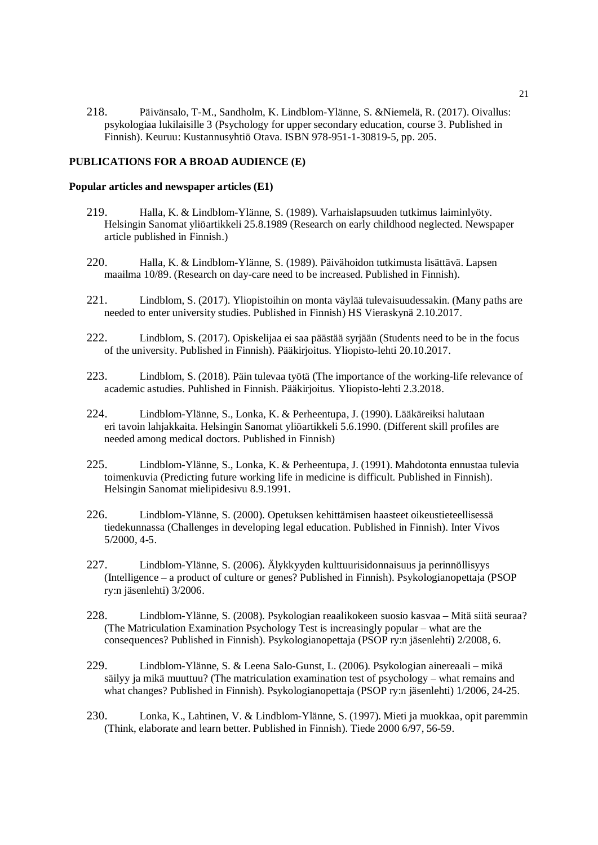218. Päivänsalo, T-M., Sandholm, K. Lindblom-Ylänne, S. &Niemelä, R. (2017). Oivallus: psykologiaa lukilaisille 3 (Psychology for upper secondary education, course 3. Published in Finnish). Keuruu: Kustannusyhtiö Otava. ISBN 978-951-1-30819-5, pp. 205.

# **PUBLICATIONS FOR A BROAD AUDIENCE (E)**

#### **Popular articles and newspaper articles (E1)**

- 219. Halla, K. & Lindblom-Ylänne, S. (1989). Varhaislapsuuden tutkimus laiminlyöty. Helsingin Sanomat yliöartikkeli 25.8.1989 (Research on early childhood neglected. Newspaper article published in Finnish.)
- 220. Halla, K. & Lindblom-Ylänne, S. (1989). Päivähoidon tutkimusta lisättävä. Lapsen maailma 10/89. (Research on day-care need to be increased. Published in Finnish).
- 221. Lindblom, S. (2017). Yliopistoihin on monta väylää tulevaisuudessakin. (Many paths are needed to enter university studies. Published in Finnish) HS Vieraskynä 2.10.2017.
- 222. Lindblom, S. (2017). Opiskelijaa ei saa päästää syrjään (Students need to be in the focus of the university. Published in Finnish). Pääkirjoitus. Yliopisto-lehti 20.10.2017.
- 223. Lindblom, S. (2018). Päin tulevaa työtä (The importance of the working-life relevance of academic astudies. Puhlished in Finnish. Pääkirjoitus. Yliopisto-lehti 2.3.2018.
- 224. Lindblom-Ylänne, S., Lonka, K. & Perheentupa, J. (1990). Lääkäreiksi halutaan eri tavoin lahjakkaita. Helsingin Sanomat yliöartikkeli 5.6.1990. (Different skill profiles are needed among medical doctors. Published in Finnish)
- 225. Lindblom-Ylänne, S., Lonka, K. & Perheentupa, J. (1991). Mahdotonta ennustaa tulevia toimenkuvia (Predicting future working life in medicine is difficult. Published in Finnish). Helsingin Sanomat mielipidesivu 8.9.1991.
- 226. Lindblom-Ylänne, S. (2000). Opetuksen kehittämisen haasteet oikeustieteellisessä tiedekunnassa (Challenges in developing legal education. Published in Finnish). Inter Vivos 5/2000, 4-5.
- 227. Lindblom-Ylänne, S. (2006). Älykkyyden kulttuurisidonnaisuus ja perinnöllisyys (Intelligence – a product of culture or genes? Published in Finnish). Psykologianopettaja (PSOP ry:n jäsenlehti) 3/2006.
- 228. Lindblom-Ylänne, S. (2008). Psykologian reaalikokeen suosio kasvaa Mitä siitä seuraa? (The Matriculation Examination Psychology Test is increasingly popular – what are the consequences? Published in Finnish). Psykologianopettaja (PSOP ry:n jäsenlehti) 2/2008, 6.
- 229. Lindblom-Ylänne, S. & Leena Salo-Gunst, L. (2006). Psykologian ainereaali mikä säilyy ja mikä muuttuu? (The matriculation examination test of psychology – what remains and what changes? Published in Finnish). Psykologianopettaja (PSOP ry:n jäsenlehti) 1/2006, 24-25.
- 230. Lonka, K., Lahtinen, V. & Lindblom-Ylänne, S. (1997). Mieti ja muokkaa, opit paremmin (Think, elaborate and learn better. Published in Finnish). Tiede 2000 6/97, 56-59.